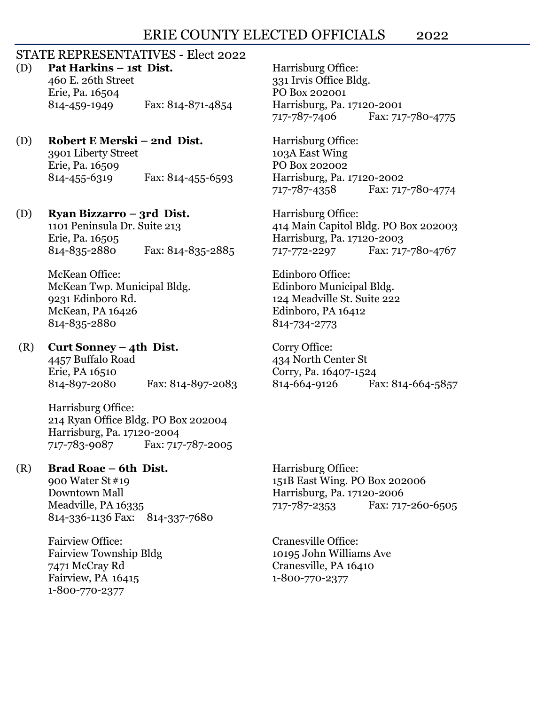# ERIE COUNTY ELECTED OFFICIALS 2022

# STATE REPRESENTATIVES - Elect 2022

(D) **Pat Harkins – 1st Dist.** Harrisburg Office:

460 E. 26th Street 331 Irvis Office Bldg. Erie, Pa. 16504 PO Box 202001 814-459-1949 Fax: 814-871-4854 Harrisburg, Pa. 17120-2001

# (D) **Robert E Merski – 2nd Dist.** Harrisburg Office:

3901 Liberty Street 103A East Wing Erie, Pa. 16509 PO Box 202002 814-455-6319 Fax: 814-455-6593 Harrisburg, Pa. 17120-2002

# (D) **Ryan Bizzarro – 3rd Dist.** Harrisburg Office:

Erie, Pa. 16505 Harrisburg, Pa. 17120-2003 814-835-2880 Fax: 814-835-2885 717-772-2297 Fax: 717-780-4767

McKean Office: Edinboro Office: McKean Twp. Municipal Bldg. **Edinboro Municipal Bldg.** 9231 Edinboro Rd. 124 Meadville St. Suite 222 McKean, PA 16426 **Edinboro**, PA 16412 814-835-2880 814-734-2773

# (R) **Curt Sonney – 4th Dist.** Corry Office:

4457 Buffalo Road 434 North Center St Erie, PA 16510 Corry, Pa. 16407-1524 814-897-2080 Fax: 814-897-2083 814-664-9126 Fax: 814-664-5857

Harrisburg Office: 214 Ryan Office Bldg. PO Box 202004 Harrisburg, Pa. 17120-2004 717-783-9087 Fax: 717-787-2005

# (R) **Brad Roae – 6th Dist.** Harrisburg Office:

Downtown Mall Harrisburg, Pa. 17120-2006 814-336-1136 Fax: 814-337-7680

Fairview Office: Cranesville Office: 7471 McCray Rd Cranesville, PA 16410 Fairview, PA 16415 1-800-770-2377 1-800-770-2377

717-787-7406 Fax: 717-780-4775

717-787-4358 Fax: 717-780-4774

1101 Peninsula Dr. Suite 213 414 Main Capitol Bldg. PO Box 202003

900 Water St#19 151B East Wing. PO Box 202006 Meadville, PA 16335 717-787-2353 Fax: 717-260-6505

Fairview Township Bldg 10195 John Williams Ave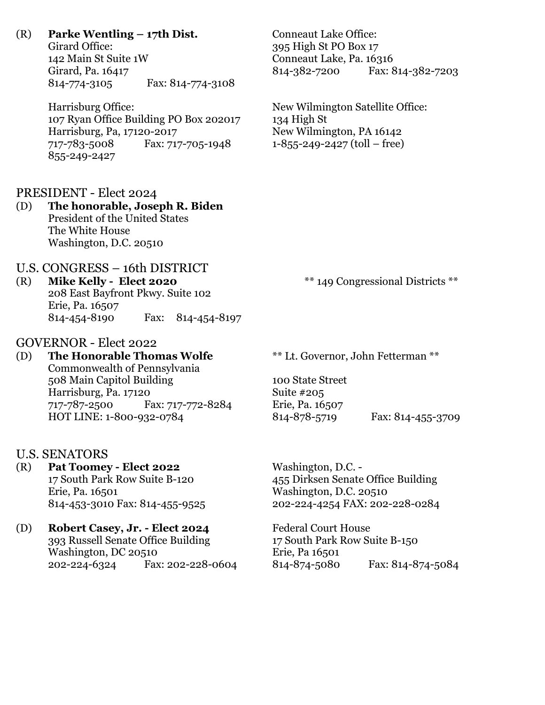# (R) **Parke Wentling – 17th Dist.** Conneaut Lake Office:

Girard Office: 395 High St PO Box 17 142 Main St Suite 1W Conneaut Lake, Pa. 16316<br>Girard, Pa. 16417 814-382-7200 Fax: 8 Girard, Pa. 16417 814-382-7200 Fax: 814-382-7203 814-774-3105 Fax: 814-774-3108

Harrisburg Office: New Wilmington Satellite Office: 107 Ryan Office Building PO Box 202017 134 High St Harrisburg, Pa, 17120-2017 New Wilmington, PA 16142 717-783-5008 Fax: 717-705-1948 1-855-249-2427 (toll – free) 855-249-2427

PRESIDENT - Elect 2024

# (D) **The honorable, Joseph R. Biden** President of the United States The White House Washington, D.C. 20510

# U.S. CONGRESS – 16th DISTRICT

(R) **Mike Kelly - Elect 2020** \*\* 149 Congressional Districts \*\* 208 East Bayfront Pkwy. Suite 102 Erie, Pa. 16507 814-454-8190 Fax: 814-454-8197

# GOVERNOR - Elect 2022

(D) **The Honorable Thomas Wolfe** \*\* Lt. Governor, John Fetterman \*\* Commonwealth of Pennsylvania 508 Main Capitol Building 100 State Street Harrisburg, Pa. 17120 Suite #205 717-787-2500 Fax: 717-772-8284 Erie, Pa. 16507 HOT LINE: 1-800-932-0784 814-878-5719 Fax: 814-455-3709

# U.S. SENATORS

- (R) **Pat Toomey - Elect 2022** Washington, D.C. Erie, Pa. 16501 Washington, D.C. 20510
- (D) **Robert Casey, Jr. - Elect 2024** Federal Court House 393 Russell Senate Office Building 17 South Park Row Suite B-150 Washington, DC 20510 **Example 18 Except** Erie, Pa 16501

17 South Park Row Suite B-120 455 Dirksen Senate Office Building 814-453-3010 Fax: 814-455-9525 202-224-4254 FAX: 202-228-0284

202-224-6324 Fax: 202-228-0604 814-874-5080 Fax: 814-874-5084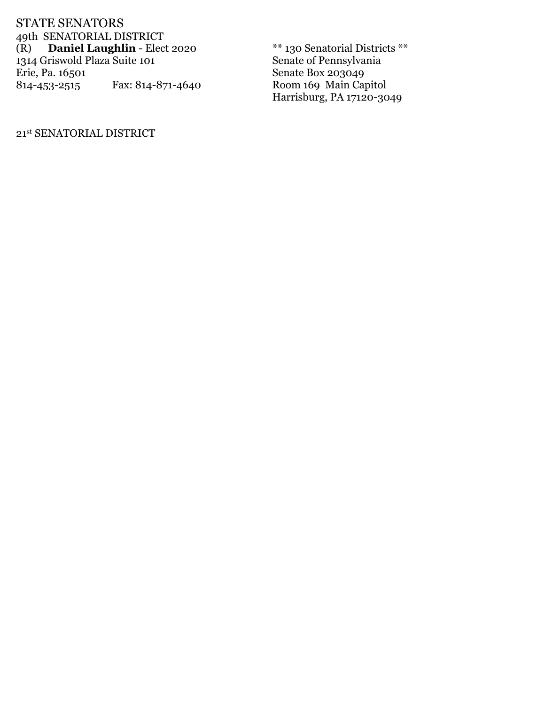STATE SENATORS 49th SENATORIAL DISTRICT (R) **Daniel Laughlin** - Elect 2020 <sup>\*\*</sup> 130 Senatorial Districts \*\*<br>1314 Griswold Plaza Suite 101 Senate of Pennsylvania 1314 Griswold Plaza Suite 101<br>Erie, Pa. 16501 Eax: 814-871-4640<br>Room 169 Main Ca 814-453-2515 Fax: 814-871-4640 Room 169 Main Capitol

Harrisburg, PA 17120-3049

21st SENATORIAL DISTRICT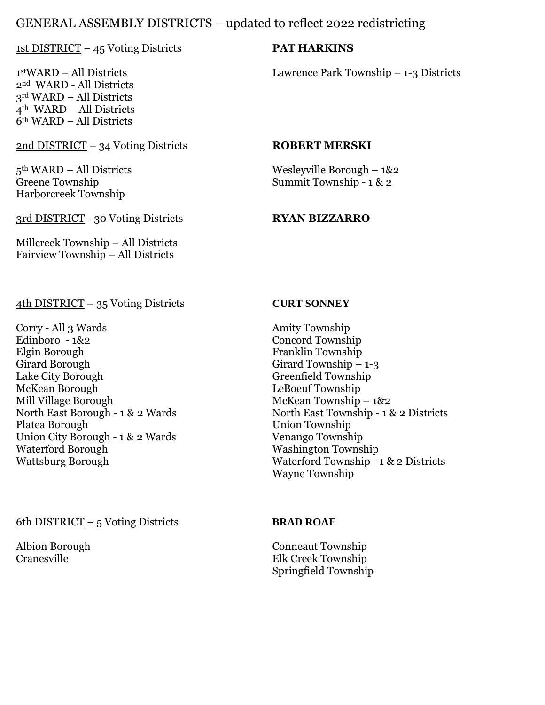# GENERAL ASSEMBLY DISTRICTS – updated to reflect 2022 redistricting

# 1st DISTRICT – 45 Voting Districts **PAT HARKINS**

 $1<sup>st</sup>WARD – All Distributions$ nd WARD - All Districts rd WARD – All Districts th WARD – All Districts th WARD – All Districts

# 2nd DISTRICT – 34 Voting Districts **ROBERT MERSKI**

Harborcreek Township

3rd DISTRICT - 30 Voting Districts **RYAN BIZZARRO**

Millcreek Township – All Districts Fairview Township – All Districts

# 4th DISTRICT – 35 Voting Districts **CURT SONNEY**

Corry - All 3 Wards Amity Township Edinboro - 1&2 Concord Township Elgin Borough Franklin Township<br>Girard Borough Girard Township – Girard Borough Girard Township – 1-3<br>
Lake City Borough Greenfield Township Lake City Borough Greenfield Township<br>McKean Borough Greenfield Township Mill Village Borough McKean Township – 1&2<br>North East Borough - 1 & 2 Wards Morth East Township - 1 & Union City Borough - 1 & 2 Wards<br>Waterford Borough

Lawrence Park Township  $-$  1-3 Districts

5th WARD – All Districts Wesleyville Borough – 1&2 Greene Township Summit Township - 1 & 2

LeBoeuf Township North East Borough - 1 & 2 Wards North East Township - 1 & 2 Districts<br>Platea Borough Union Township **Union Township<br>Venango Township** Washington Township Wattsburg Borough Waterford Township - 1 & 2 Districts Wayne Township

# 6th DISTRICT – 5 Voting Districts **BRAD ROAE**

Albion Borough Conneaut Township<br>Cranesville Cranesville Elk Creek Township Elk Creek Township Springfield Township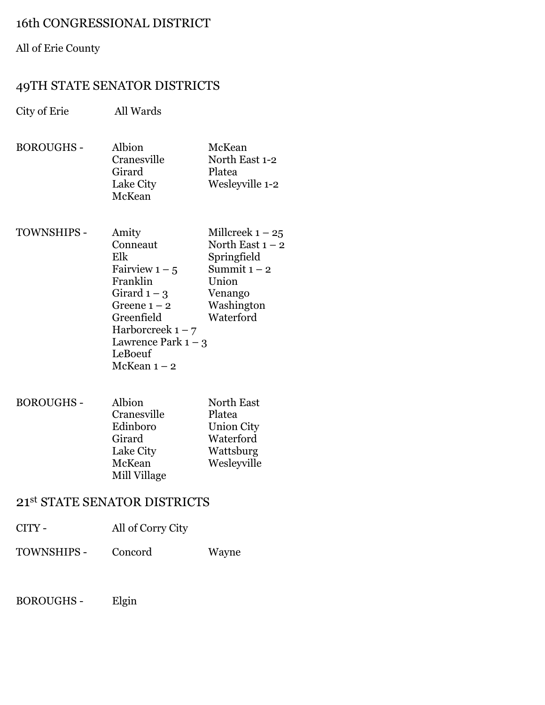# 16th CONGRESSIONAL DISTRICT

# All of Erie County

# 49TH STATE SENATOR DISTRICTS

City of Erie All Wards BOROUGHS - Albion McKean Cranesville North East 1-2

- Girard Platea Lake City Wesleyville 1-2 McKean
- TOWNSHIPS Amity Millcreek  $1 25$ Conneaut North East  $1 - 2$ Elk Springfield<br>Fairview  $1 - 5$  Summit  $1 - 2$ Fairview  $1 - 5$ Franklin Union Girard  $1 - 3$  Venango Greene 1 – 2 Washington<br>Greenfield Waterford Greenfield Harborcreek  $1 - 7$ Lawrence Park  $1 - 3$ LeBoeuf McKean  $1 - 2$
- BOROUGHS Albion North East Cranesville Platea Edinboro Union City Girard Waterford<br>Lake City Wattsburg Wattsburg McKean Wesleyville Mill Village

# 21st STATE SENATOR DISTRICTS

- CITY All of Corry City
- TOWNSHIPS Concord Wayne
- BOROUGHS Elgin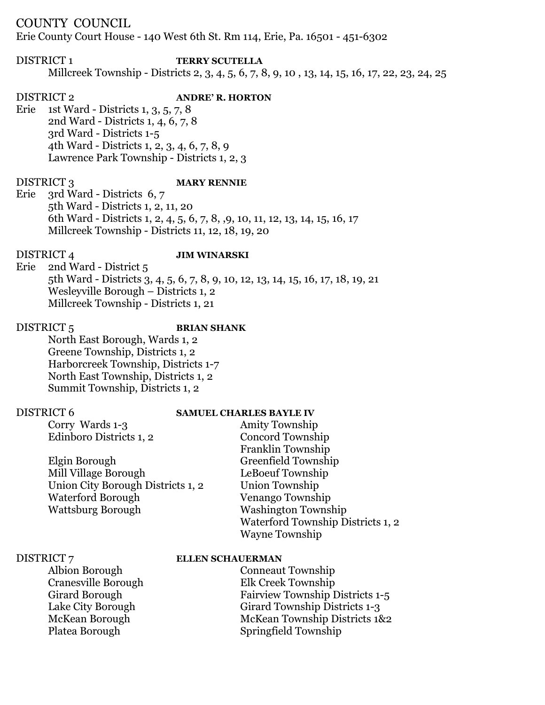# COUNTY COUNCIL

Erie County Court House - 140 West 6th St. Rm 114, Erie, Pa. 16501 - 451-6302

# DISTRICT 1 **TERRY SCUTELLA** Millcreek Township - Districts 2, 3, 4, 5, 6, 7, 8, 9, 10 , 13, 14, 15, 16, 17, 22, 23, 24, 25

# DISTRICT 2 **ANDRE' R. HORTON** Erie 1st Ward - Districts 1, 3, 5, 7, 8 2nd Ward - Districts 1, 4, 6, 7, 8 3rd Ward - Districts 1-5 4th Ward - Districts 1, 2, 3, 4, 6, 7, 8, 9 Lawrence Park Township - Districts 1, 2, 3

## DISTRICT 3 **MARY RENNIE**

Erie 3rd Ward - Districts 6, 7 5th Ward - Districts 1, 2, 11, 20 6th Ward - Districts 1, 2, 4, 5, 6, 7, 8, ,9, 10, 11, 12, 13, 14, 15, 16, 17 Millcreek Township - Districts 11, 12, 18, 19, 20

# DISTRICT 4 **JIM WINARSKI**

Erie 2nd Ward - District 5 5th Ward - Districts 3, 4, 5, 6, 7, 8, 9, 10, 12, 13, 14, 15, 16, 17, 18, 19, 21 Wesleyville Borough – Districts 1, 2 Millcreek Township - Districts 1, 21

# DISTRICT 5 **BRIAN SHANK**

North East Borough, Wards 1, 2 Greene Township, Districts 1, 2 Harborcreek Township, Districts 1-7 North East Township, Districts 1, 2 Summit Township, Districts 1, 2

# DISTRICT 6 **SAMUEL CHARLES BAYLE IV**

Corry Wards 1-3 Amity Township

| Edinboro Districts 1, 2           | <b>Concord Township</b>           |
|-----------------------------------|-----------------------------------|
|                                   | Franklin Township                 |
| Elgin Borough                     | Greenfield Township               |
| Mill Village Borough              | LeBoeuf Township                  |
| Union City Borough Districts 1, 2 | Union Township                    |
| <b>Waterford Borough</b>          | Venango Township                  |
| Wattsburg Borough                 | <b>Washington Township</b>        |
|                                   | Waterford Township Districts 1, 2 |
|                                   | <b>Wayne Township</b>             |

# DISTRICT 7 **ELLEN SCHAUERMAN**

Albion Borough Conneaut Township Cranesville Borough Elk Creek Township Girard Borough Fairview Township Districts 1-5 Lake City Borough Girard Township Districts 1-3 McKean Borough McKean Township Districts 1&2 Platea Borough Springfield Township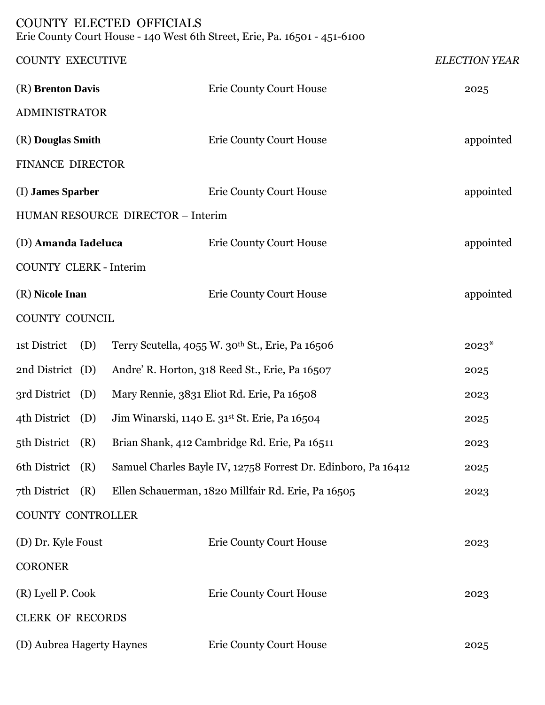# COUNTY ELECTED OFFICIALS

Erie County Court House - 140 West 6th Street, Erie, Pa. 16501 - 451-6100

| <b>COUNTY EXECUTIVE</b>       |                                   |                                                               | <b>ELECTION YEAR</b> |
|-------------------------------|-----------------------------------|---------------------------------------------------------------|----------------------|
| (R) Brenton Davis             |                                   | <b>Erie County Court House</b>                                | 2025                 |
| ADMINISTRATOR                 |                                   |                                                               |                      |
| (R) Douglas Smith             |                                   | <b>Erie County Court House</b>                                | appointed            |
| FINANCE DIRECTOR              |                                   |                                                               |                      |
| (I) James Sparber             |                                   | <b>Erie County Court House</b>                                | appointed            |
|                               | HUMAN RESOURCE DIRECTOR - Interim |                                                               |                      |
| (D) Amanda Iadeluca           |                                   | <b>Erie County Court House</b>                                | appointed            |
| <b>COUNTY CLERK - Interim</b> |                                   |                                                               |                      |
| (R) Nicole Inan               |                                   | <b>Erie County Court House</b>                                | appointed            |
| COUNTY COUNCIL                |                                   |                                                               |                      |
| 1st District<br>(D)           |                                   | Terry Scutella, 4055 W. 30th St., Erie, Pa 16506              | $2023*$              |
| 2nd District (D)              |                                   | Andre' R. Horton, 318 Reed St., Erie, Pa 16507                | 2025                 |
| 3rd District (D)              |                                   | Mary Rennie, 3831 Eliot Rd. Erie, Pa 16508                    | 2023                 |
| 4th District (D)              |                                   | Jim Winarski, 1140 E. 31st St. Erie, Pa 16504                 | 2025                 |
| 5th District (R)              |                                   | Brian Shank, 412 Cambridge Rd. Erie, Pa 16511                 | 2023                 |
| 6th District (R)              |                                   | Samuel Charles Bayle IV, 12758 Forrest Dr. Edinboro, Pa 16412 | 2025                 |
| 7th District $(R)$            |                                   | Ellen Schauerman, 1820 Millfair Rd. Erie, Pa 16505            | 2023                 |
| COUNTY CONTROLLER             |                                   |                                                               |                      |
| (D) Dr. Kyle Foust            |                                   | <b>Erie County Court House</b>                                | 2023                 |
| <b>CORONER</b>                |                                   |                                                               |                      |
| (R) Lyell P. Cook             |                                   | <b>Erie County Court House</b>                                | 2023                 |
| <b>CLERK OF RECORDS</b>       |                                   |                                                               |                      |
| (D) Aubrea Hagerty Haynes     |                                   | <b>Erie County Court House</b>                                | 2025                 |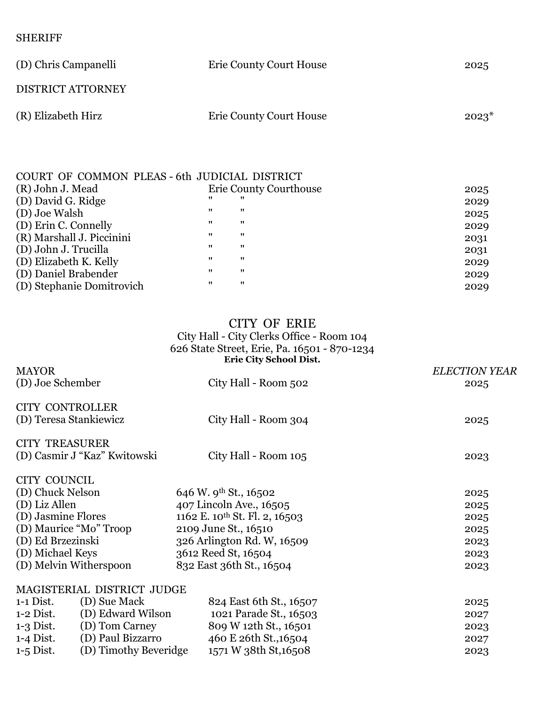SHERIFF

| (D) Chris Campanelli     | <b>Erie County Court House</b> | 2025    |
|--------------------------|--------------------------------|---------|
| <b>DISTRICT ATTORNEY</b> |                                |         |
| (R) Elizabeth Hirz       | Erie County Court House        | $2023*$ |

| COURT OF COMMON PLEAS - 6th JUDICIAL DISTRICT |                   |                               |      |
|-----------------------------------------------|-------------------|-------------------------------|------|
| (R) John J. Mead                              |                   | <b>Erie County Courthouse</b> | 2025 |
| (D) David G. Ridge                            | 11                |                               | 2029 |
| (D) Joe Walsh                                 | 11                | $^{\prime\prime}$             | 2025 |
| (D) Erin C. Connelly                          | 11                | 11                            | 2029 |
| (R) Marshall J. Piccinini                     | $^{\prime\prime}$ | $^{\prime\prime}$             | 2031 |
| (D) John J. Trucilla                          | 11                | 11                            | 2031 |
| (D) Elizabeth K. Kelly                        | $^{\prime\prime}$ | $^{\prime\prime}$             | 2029 |
| (D) Daniel Brabender                          | $^{\prime\prime}$ | $^{\prime\prime}$             | 2029 |
| (D) Stephanie Domitrovich                     | 11                | $^{\prime\prime}$             | 2029 |

# CITY OF ERIE

# City Hall - City Clerks Office - Room 104 626 State Street, Erie, Pa. 16501 - 870-1234 **Erie City School Dist.**

| <b>MAYOR</b>           |                                                  |                                           | <b>ELECTION YEAR</b> |
|------------------------|--------------------------------------------------|-------------------------------------------|----------------------|
| (D) Joe Schember       |                                                  | City Hall - Room 502                      | 2025                 |
|                        | <b>CITY CONTROLLER</b><br>(D) Teresa Stankiewicz | City Hall - Room 304                      | 2025                 |
| <b>CITY TREASURER</b>  | (D) Casmir J "Kaz" Kwitowski                     | City Hall - Room 105                      | 2023                 |
| CITY COUNCIL           |                                                  |                                           |                      |
| (D) Chuck Nelson       |                                                  | 646 W. 9th St., 16502                     | 2025                 |
| (D) Liz Allen          |                                                  | 407 Lincoln Ave., 16505                   | 2025                 |
| (D) Jasmine Flores     |                                                  | 1162 E. 10 <sup>th</sup> St. Fl. 2, 16503 | 2025                 |
| (D) Maurice "Mo" Troop |                                                  | 2109 June St., 16510                      | 2025                 |
| (D) Ed Brzezinski      |                                                  | 326 Arlington Rd. W, 16509                | 2023                 |
| (D) Michael Keys       |                                                  | 3612 Reed St, 16504                       | 2023                 |
| (D) Melvin Witherspoon |                                                  | 832 East 36th St., 16504                  | 2023                 |
|                        | MAGISTERIAL DISTRICT JUDGE                       |                                           |                      |
| $1-1$ Dist.            | (D) Sue Mack                                     | 824 East 6th St., 16507                   | 2025                 |
| $1-2$ Dist.            | (D) Edward Wilson                                | 1021 Parade St., 16503                    | 2027                 |
| $1-3$ Dist.            | (D) Tom Carney                                   | 809 W 12th St., 16501                     | 2023                 |
| $1-4$ Dist.            | (D) Paul Bizzarro                                | 460 E 26th St., 16504                     | 2027                 |
| $1-5$ Dist.            | (D) Timothy Beveridge                            | 1571 W 38th St, 16508                     | 2023                 |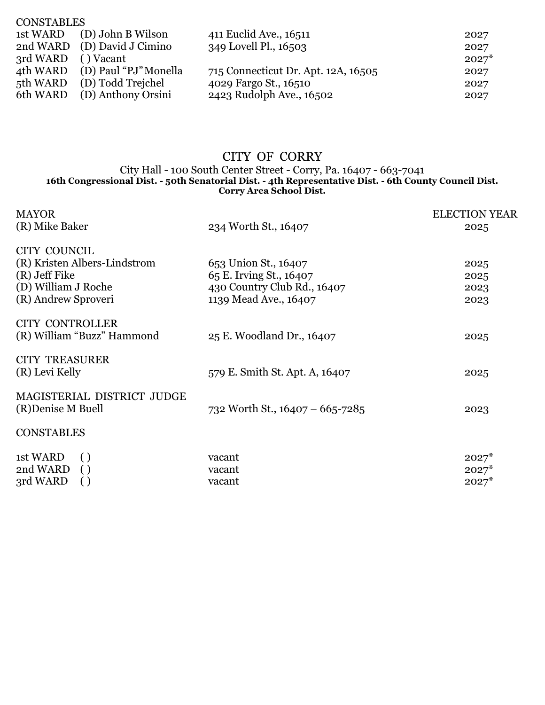| <b>CONSTABLES</b>  |                                |                                     |         |
|--------------------|--------------------------------|-------------------------------------|---------|
|                    | 1st WARD (D) John B Wilson     | 411 Euclid Ave., 16511              | 2027    |
|                    | 2nd WARD (D) David J Cimino    | 349 Lovell Pl., 16503               | 2027    |
| 3rd WARD () Vacant |                                |                                     | $2027*$ |
|                    | 4th WARD (D) Paul "PJ" Monella | 715 Connecticut Dr. Apt. 12A, 16505 | 2027    |
|                    | 5th WARD (D) Todd Trejchel     | 4029 Fargo St., 16510               | 2027    |
|                    | 6th WARD (D) Anthony Orsini    | 2423 Rudolph Ave., 16502            | 2027    |

# CITY OF CORRY

#### City Hall - 100 South Center Street - Corry, Pa. 16407 - 663-7041 **16th Congressional Dist. - 50th Senatorial Dist. - 4th Representative Dist. - 6th County Council Dist. Corry Area School Dist.**

| <b>MAYOR</b>                                                                                     |                                 | <b>ELECTION YEAR</b>          |
|--------------------------------------------------------------------------------------------------|---------------------------------|-------------------------------|
| (R) Mike Baker                                                                                   | 234 Worth St., 16407            | 2025                          |
| CITY COUNCIL                                                                                     |                                 |                               |
| (R) Kristen Albers-Lindstrom                                                                     | 653 Union St., 16407            | 2025                          |
| (R) Jeff Fike                                                                                    | 65 E. Irving St., 16407         | 2025                          |
| (D) William J Roche                                                                              | 430 Country Club Rd., 16407     | 2023                          |
| (R) Andrew Sproveri                                                                              | 1139 Mead Ave., 16407           | 2023                          |
| <b>CITY CONTROLLER</b><br>(R) William "Buzz" Hammond                                             | 25 E. Woodland Dr., 16407       | 2025                          |
| <b>CITY TREASURER</b><br>(R) Levi Kelly                                                          | 579 E. Smith St. Apt. A, 16407  | 2025                          |
| MAGISTERIAL DISTRICT JUDGE<br>(R) Denise M Buell                                                 | 732 Worth St., 16407 - 665-7285 | 2023                          |
| <b>CONSTABLES</b>                                                                                |                                 |                               |
|                                                                                                  |                                 |                               |
|                                                                                                  |                                 |                               |
|                                                                                                  |                                 |                               |
| 1st WARD<br>$\left( \ \right)$<br>2nd WARD<br>$\left( \ \right)$<br>3rd WARD<br>$\left( \right)$ | vacant<br>vacant<br>vacant      | $2027*$<br>$2027*$<br>$2027*$ |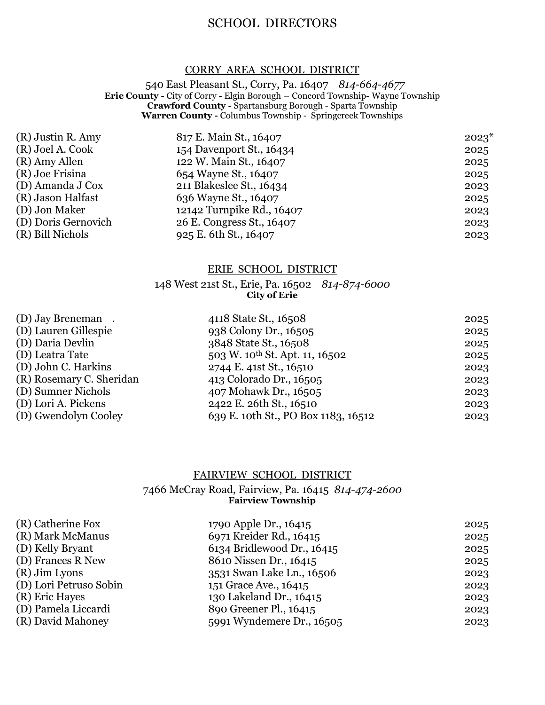# SCHOOL DIRECTORS

# CORRY AREA SCHOOL DISTRICT

 540 East Pleasant St., Corry, Pa. 16407 *814-664-4677* **Erie County -** City of Corry **-** Elgin Borough **–** Concord Township**-** Wayne Township **Crawford County -** Spartansburg Borough - Sparta Township **Warren County -** Columbus Township - Springcreek Townships

| (R) Justin R. Amy   | 817 E. Main St., 16407    | $2023*$ |
|---------------------|---------------------------|---------|
| (R) Joel A. Cook    | 154 Davenport St., 16434  | 2025    |
| (R) Amy Allen       | 122 W. Main St., 16407    | 2025    |
| (R) Joe Frisina     | 654 Wayne St., 16407      | 2025    |
| (D) Amanda J Cox    | 211 Blakeslee St., 16434  | 2023    |
| (R) Jason Halfast   | 636 Wayne St., 16407      | 2025    |
| (D) Jon Maker       | 12142 Turnpike Rd., 16407 | 2023    |
| (D) Doris Gernovich | 26 E. Congress St., 16407 | 2023    |
| (R) Bill Nichols    | 925 E. 6th St., 16407     | 2023    |

### ERIE SCHOOL DISTRICT

# 148 West 21st St., Erie, Pa. 16502 *814-874-6000* **City of Erie**

| 4118 State St., 16508                      | 2025 |
|--------------------------------------------|------|
| 938 Colony Dr., 16505                      | 2025 |
| 3848 State St., 16508                      | 2025 |
| 503 W. 10 <sup>th</sup> St. Apt. 11, 16502 | 2025 |
| 2744 E. 41st St., 16510                    | 2023 |
| 413 Colorado Dr., 16505                    | 2023 |
| 407 Mohawk Dr., 16505                      | 2023 |
| 2422 E. 26th St., 16510                    | 2023 |
| 639 E. 10th St., PO Box 1183, 16512        | 2023 |
|                                            |      |

#### FAIRVIEW SCHOOL DISTRICT

### 7466 McCray Road, Fairview, Pa. 16415 *814-474-2600* **Fairview Township**

| 1790 Apple Dr., 16415      | 2025 |
|----------------------------|------|
| 6971 Kreider Rd., 16415    | 2025 |
| 6134 Bridlewood Dr., 16415 | 2025 |
| 8610 Nissen Dr., 16415     | 2025 |
| 3531 Swan Lake Ln., 16506  | 2023 |
| 151 Grace Ave., 16415      | 2023 |
| 130 Lakeland Dr., 16415    | 2023 |
| 890 Greener Pl., 16415     | 2023 |
| 5991 Wyndemere Dr., 16505  | 2023 |
|                            |      |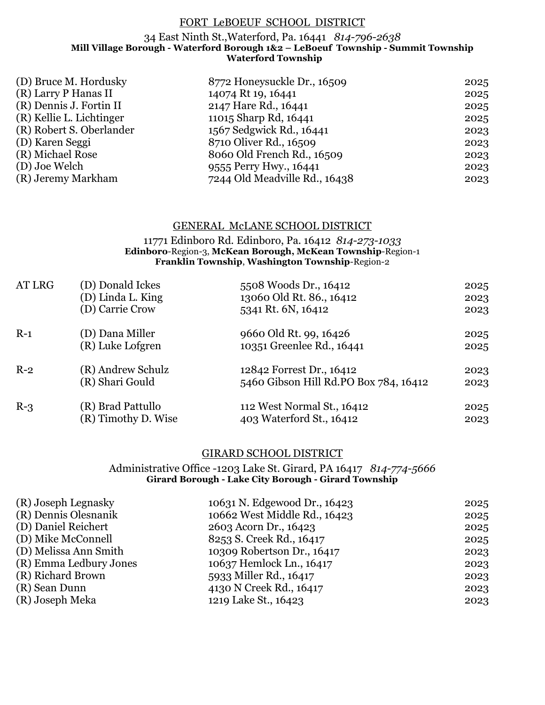## FORT LeBOEUF SCHOOL DISTRICT

## 34 East Ninth St.,Waterford, Pa. 16441 *814-796-2638* **Mill Village Borough - Waterford Borough 1&2 – LeBoeuf Township - Summit Township Waterford Township**

| 8772 Honeysuckle Dr., 16509   | 2025 |
|-------------------------------|------|
| 14074 Rt 19, 16441            | 2025 |
| 2147 Hare Rd., 16441          | 2025 |
| 11015 Sharp Rd, 16441         | 2025 |
| 1567 Sedgwick Rd., 16441      | 2023 |
| 8710 Oliver Rd., 16509        | 2023 |
| 8060 Old French Rd., 16509    | 2023 |
| 9555 Perry Hwy., 16441        | 2023 |
| 7244 Old Meadville Rd., 16438 | 2023 |
|                               |      |

## GENERAL McLANE SCHOOL DISTRICT

#### 11771 Edinboro Rd. Edinboro, Pa. 16412 *814-273-1033* **Edinboro**-Region-3, **McKean Borough, McKean Township**-Region-1 **Franklin Township**, **Washington Township**-Region-2

| AT LRG | (D) Donald Ickes    | 5508 Woods Dr., 16412                 | 2025 |
|--------|---------------------|---------------------------------------|------|
|        | (D) Linda L. King   | 13060 Old Rt. 86., 16412              | 2023 |
|        | (D) Carrie Crow     | 5341 Rt. 6N, 16412                    | 2023 |
| $R-1$  | (D) Dana Miller     | 9660 Old Rt. 99, 16426                | 2025 |
|        | (R) Luke Lofgren    | 10351 Greenlee Rd., 16441             | 2025 |
| $R-2$  | (R) Andrew Schulz   | 12842 Forrest Dr., 16412              | 2023 |
|        | (R) Shari Gould     | 5460 Gibson Hill Rd.PO Box 784, 16412 | 2023 |
| $R-3$  | (R) Brad Pattullo   | 112 West Normal St., 16412            | 2025 |
|        | (R) Timothy D. Wise | 403 Waterford St., 16412              | 2023 |

# GIRARD SCHOOL DISTRICT

#### Administrative Office -1203 Lake St. Girard, PA 16417 *814-774-5666* **Girard Borough - Lake City Borough - Girard Township**

| (R) Joseph Legnasky    | 10631 N. Edgewood Dr., 16423 | 2025 |
|------------------------|------------------------------|------|
| (R) Dennis Olesnanik   | 10662 West Middle Rd., 16423 | 2025 |
| (D) Daniel Reichert    | 2603 Acorn Dr., 16423        | 2025 |
| (D) Mike McConnell     | 8253 S. Creek Rd., 16417     | 2025 |
| (D) Melissa Ann Smith  | 10309 Robertson Dr., 16417   | 2023 |
| (R) Emma Ledbury Jones | 10637 Hemlock Ln., 16417     | 2023 |
| (R) Richard Brown      | 5933 Miller Rd., 16417       | 2023 |
| (R) Sean Dunn          | 4130 N Creek Rd., 16417      | 2023 |
| (R) Joseph Meka        | 1219 Lake St., 16423         | 2023 |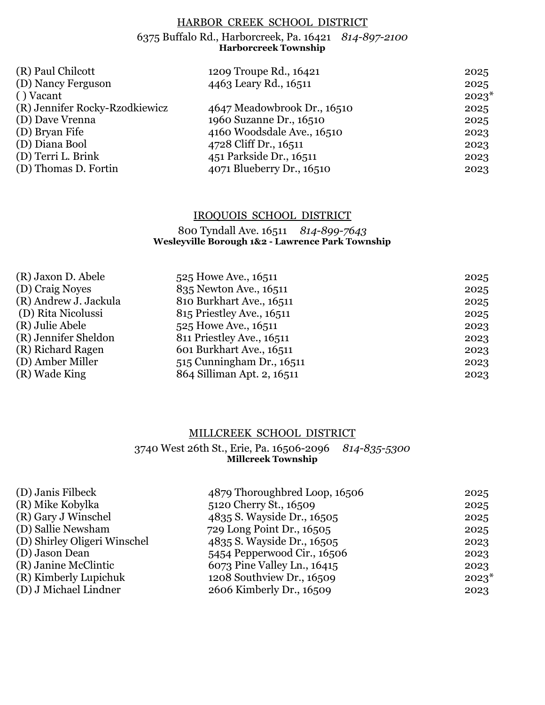# HARBOR CREEK SCHOOL DISTRICT

#### 6375 Buffalo Rd., Harborcreek, Pa. 16421 *814-897-2100* **Harborcreek Township**

| (R) Paul Chilcott              | 1209 Troupe Rd., 16421      | 2025    |
|--------------------------------|-----------------------------|---------|
| (D) Nancy Ferguson             | 4463 Leary Rd., 16511       | 2025    |
| () Vacant                      |                             | $2023*$ |
| (R) Jennifer Rocky-Rzodkiewicz | 4647 Meadowbrook Dr., 16510 | 2025    |
| (D) Dave Vrenna                | 1960 Suzanne Dr., 16510     | 2025    |
| (D) Bryan Fife                 | 4160 Woodsdale Ave., 16510  | 2023    |
| (D) Diana Bool                 | 4728 Cliff Dr., 16511       | 2023    |
| (D) Terri L. Brink             | 451 Parkside Dr., 16511     | 2023    |
| (D) Thomas D. Fortin           | 4071 Blueberry Dr., 16510   | 2023    |

# IROQUOIS SCHOOL DISTRICT

# 800 Tyndall Ave. 16511 *814-899-7643* **Wesleyville Borough 1&2 - Lawrence Park Township**

| 525 Howe Ave., 16511       | 2025 |
|----------------------------|------|
| 835 Newton Ave., 16511     | 2025 |
| 810 Burkhart Ave., 16511   | 2025 |
| 815 Priestley Ave., 16511  | 2025 |
| 525 Howe Ave., 16511       | 2023 |
| 811 Priestley Ave., 16511  | 2023 |
| 601 Burkhart Ave., 16511   | 2023 |
| 515 Cunningham Dr., 16511  | 2023 |
| 864 Silliman Apt. 2, 16511 | 2023 |
|                            |      |

# MILLCREEK SCHOOL DISTRICT

## 3740 West 26th St., Erie, Pa. 16506-2096 *814-835-5300* **Millcreek Township**

|                             | 2025                          |
|-----------------------------|-------------------------------|
| 5120 Cherry St., 16509      | 2025                          |
| 4835 S. Wayside Dr., 16505  | 2025                          |
| 729 Long Point Dr., 16505   | 2025                          |
| 4835 S. Wayside Dr., 16505  | 2023                          |
| 5454 Pepperwood Cir., 16506 | 2023                          |
| 6073 Pine Valley Ln., 16415 | 2023                          |
| 1208 Southview Dr., 16509   | $2023*$                       |
| 2606 Kimberly Dr., 16509    | 2023                          |
|                             | 4879 Thoroughbred Loop, 16506 |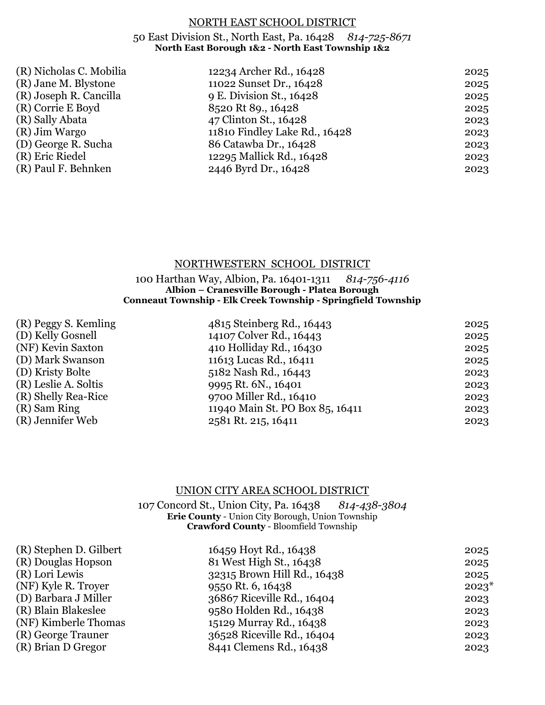## NORTH EAST SCHOOL DISTRICT

# 50 East Division St., North East, Pa. 16428 *814-725-8671* **North East Borough 1&2 - North East Township 1&2**

| (R) Nicholas C. Mobilia | 12234 Archer Rd., 16428       | 2025 |
|-------------------------|-------------------------------|------|
| (R) Jane M. Blystone    | 11022 Sunset Dr., 16428       | 2025 |
| (R) Joseph R. Cancilla  | 9 E. Division St., 16428      | 2025 |
| (R) Corrie E Boyd       | 8520 Rt 89., 16428            | 2025 |
| (R) Sally Abata         | 47 Clinton St., 16428         | 2023 |
| (R) Jim Wargo           | 11810 Findley Lake Rd., 16428 | 2023 |
| (D) George R. Sucha     | 86 Catawba Dr., 16428         | 2023 |
| (R) Eric Riedel         | 12295 Mallick Rd., 16428      | 2023 |
| (R) Paul F. Behnken     | 2446 Byrd Dr., 16428          | 2023 |
|                         |                               |      |

# NORTHWESTERN SCHOOL DISTRICT

100 Harthan Way, Albion, Pa. 16401-1311 *814-756-4116* **Albion – Cranesville Borough - Platea Borough Conneaut Township - Elk Creek Township - Springfield Township**

| (R) Peggy S. Kemling |
|----------------------|
| (D) Kelly Gosnell    |
| (NF) Kevin Saxton    |
| (D) Mark Swanson     |
| (D) Kristy Bolte     |
| (R) Leslie A. Soltis |
| (R) Shelly Rea-Rice  |
| (R) Sam Ring         |
| (R) Jennifer Web     |
|                      |

| (R) Peggy S. Kemling | 4815 Steinberg Rd., 16443       | 2025 |
|----------------------|---------------------------------|------|
| (D) Kelly Gosnell    | 14107 Colver Rd., 16443         | 2025 |
| (NF) Kevin Saxton    | 410 Holliday Rd., 16430         | 2025 |
| (D) Mark Swanson     | 11613 Lucas Rd., 16411          | 2025 |
| (D) Kristy Bolte     | 5182 Nash Rd., 16443            | 2023 |
| (R) Leslie A. Soltis | 9995 Rt. 6N., 16401             | 2023 |
| (R) Shelly Rea-Rice  | 9700 Miller Rd., 16410          | 2023 |
| (R) Sam Ring         | 11940 Main St. PO Box 85, 16411 | 2023 |
| (R) Jennifer Web     | 2581 Rt. 215, 16411             | 2023 |

# UNION CITY AREA SCHOOL DISTRICT

107 Concord St., Union City, Pa. 16438 *814-438-3804* **Erie County** - Union City Borough, Union Township **Crawford County** - Bloomfield Township

| (R) Stephen D. Gilbert | 16459 Hoyt Rd., 16438       | 2025    |
|------------------------|-----------------------------|---------|
| (R) Douglas Hopson     | 81 West High St., 16438     | 2025    |
| (R) Lori Lewis         | 32315 Brown Hill Rd., 16438 | 2025    |
| (NF) Kyle R. Troyer    | 9550 Rt. 6, 16438           | $2023*$ |
| (D) Barbara J Miller   | 36867 Riceville Rd., 16404  | 2023    |
| (R) Blain Blakeslee    | 9580 Holden Rd., 16438      | 2023    |
| (NF) Kimberle Thomas   | 15129 Murray Rd., 16438     | 2023    |
| (R) George Trauner     | 36528 Riceville Rd., 16404  | 2023    |
| (R) Brian D Gregor     | 8441 Clemens Rd., 16438     | 2023    |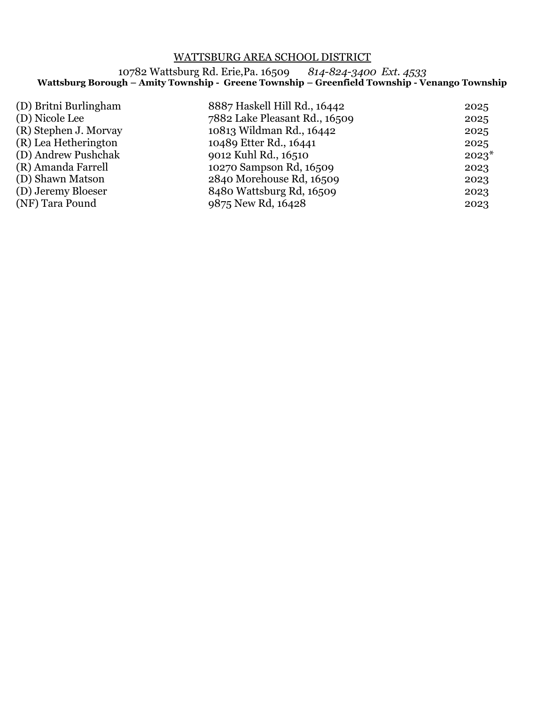# WATTSBURG AREA SCHOOL DISTRICT

10782 Wattsburg Rd. Erie,Pa. 16509*814-824-3400 Ext. 4533* **Wattsburg Borough – Amity Township - Greene Township – Greenfield Township - Venango Township**

| (D) Britni Burlingham<br>(D) Nicole Lee<br>(R) Stephen J. Morvay<br>(R) Lea Hetherington<br>(D) Andrew Pushchak<br>(R) Amanda Farrell<br>(D) Shawn Matson<br>(D) Jeremy Bloeser | 8887 Haskell Hill Rd., 16442<br>2025<br>7882 Lake Pleasant Rd., 16509<br>2025<br>10813 Wildman Rd., 16442<br>2025<br>10489 Etter Rd., 16441<br>2025<br>9012 Kuhl Rd., 16510<br>$2023*$<br>10270 Sampson Rd, 16509<br>2023<br>2840 Morehouse Rd, 16509<br>2023<br>8480 Wattsburg Rd, 16509<br>2023 |
|---------------------------------------------------------------------------------------------------------------------------------------------------------------------------------|---------------------------------------------------------------------------------------------------------------------------------------------------------------------------------------------------------------------------------------------------------------------------------------------------|
| (NF) Tara Pound                                                                                                                                                                 | 9875 New Rd, 16428<br>2023                                                                                                                                                                                                                                                                        |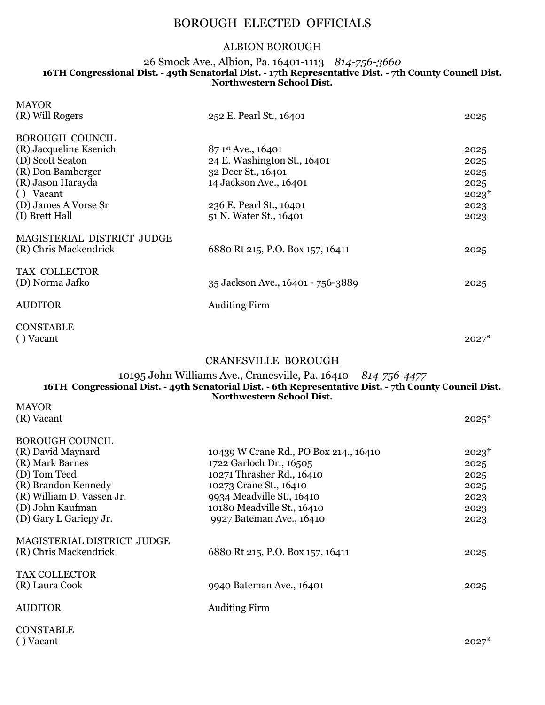# BOROUGH ELECTED OFFICIALS

# ALBION BOROUGH

## 26 Smock Ave., Albion, Pa. 16401-1113 *814-756-3660* **16TH Congressional Dist. - 49th Senatorial Dist. - 17th Representative Dist. - 7th County Council Dist. Northwestern School Dist.**

| <b>MAYOR</b><br>(R) Will Rogers                     | 252 E. Pearl St., 16401           | 2025    |
|-----------------------------------------------------|-----------------------------------|---------|
| <b>BOROUGH COUNCIL</b>                              |                                   |         |
| (R) Jacqueline Ksenich                              | 87 1st Ave., 16401                | 2025    |
| (D) Scott Seaton                                    | 24 E. Washington St., 16401       | 2025    |
| (R) Don Bamberger                                   | 32 Deer St., 16401                | 2025    |
| (R) Jason Harayda                                   | 14 Jackson Ave., 16401            | 2025    |
| () Vacant                                           |                                   | $2023*$ |
| (D) James A Vorse Sr                                | 236 E. Pearl St., 16401           | 2023    |
| (I) Brett Hall                                      | 51 N. Water St., 16401            | 2023    |
| MAGISTERIAL DISTRICT JUDGE<br>(R) Chris Mackendrick | 6880 Rt 215, P.O. Box 157, 16411  | 2025    |
| TAX COLLECTOR                                       |                                   |         |
| (D) Norma Jafko                                     | 35 Jackson Ave., 16401 - 756-3889 | 2025    |
| <b>AUDITOR</b>                                      | <b>Auditing Firm</b>              |         |
| <b>CONSTABLE</b><br>() Vacant                       |                                   | $2027*$ |
|                                                     | <b>CRANESVILLE BOROUGH</b>        |         |

## 10195 John Williams Ave., Cranesville, Pa. 16410 *814-756-4477* **16TH Congressional Dist. - 49th Senatorial Dist. - 6th Representative Dist. - 7th County Council Dist. Northwestern School Dist.**

| <b>MAYOR</b><br>(R) Vacant                          |                                       | $2025*$ |
|-----------------------------------------------------|---------------------------------------|---------|
| <b>BOROUGH COUNCIL</b>                              |                                       |         |
| (R) David Maynard                                   | 10439 W Crane Rd., PO Box 214., 16410 | $2023*$ |
| (R) Mark Barnes                                     | 1722 Garloch Dr., 16505               | 2025    |
| (D) Tom Teed                                        | 10271 Thrasher Rd., 16410             | 2025    |
| (R) Brandon Kennedy                                 | 10273 Crane St., 16410                | 2025    |
| (R) William D. Vassen Jr.                           | 9934 Meadville St., 16410             | 2023    |
| (D) John Kaufman                                    | 10180 Meadville St., 16410            | 2023    |
| (D) Gary L Gariepy Jr.                              | 9927 Bateman Ave., 16410              | 2023    |
| MAGISTERIAL DISTRICT JUDGE<br>(R) Chris Mackendrick | 6880 Rt 215, P.O. Box 157, 16411      | 2025    |
| <b>TAX COLLECTOR</b><br>(R) Laura Cook              | 9940 Bateman Ave., 16401              | 2025    |
| <b>AUDITOR</b>                                      | <b>Auditing Firm</b>                  |         |
| <b>CONSTABLE</b>                                    |                                       |         |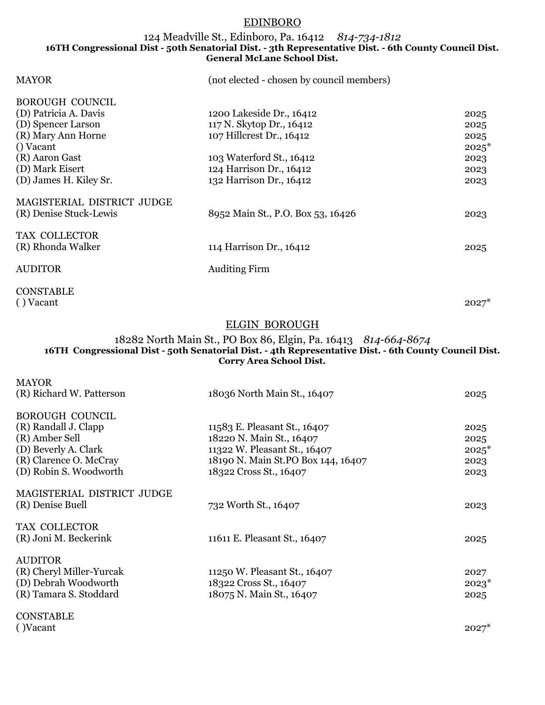# EDINBORO

### 124 Meadville St., Edinboro, Pa. 16412 *814-734-1812* **16TH Congressional Dist - 50th Senatorial Dist. - 3th Representative Dist. - 6th County Council Dist. General McLane School Dist.**

| <b>MAYOR</b>               | (not elected - chosen by council members) |         |
|----------------------------|-------------------------------------------|---------|
| <b>BOROUGH COUNCIL</b>     |                                           |         |
| (D) Patricia A. Davis      | 1200 Lakeside Dr., 16412                  | 2025    |
| (D) Spencer Larson         | 117 N. Skytop Dr., 16412                  | 2025    |
| (R) Mary Ann Horne         | 107 Hillcrest Dr., 16412                  | 2025    |
| () Vacant                  |                                           | $2025*$ |
| (R) Aaron Gast             | 103 Waterford St., 16412                  | 2023    |
| (D) Mark Eisert            | 124 Harrison Dr., 16412                   | 2023    |
| (D) James H. Kiley Sr.     | 132 Harrison Dr., 16412                   | 2023    |
| MAGISTERIAL DISTRICT JUDGE |                                           |         |
| (R) Denise Stuck-Lewis     | 8952 Main St., P.O. Box 53, 16426         | 2023    |
| TAX COLLECTOR              |                                           |         |
| (R) Rhonda Walker          | 114 Harrison Dr., 16412                   | 2025    |
| <b>AUDITOR</b>             | <b>Auditing Firm</b>                      |         |

CONSTABLE ( ) Vacant  $2027^*$ 

### ELGIN BOROUGH

#### 18282 North Main St., PO Box 86, Elgin, Pa. 16413 *814-664-8674* **16TH Congressional Dist - 50th Senatorial Dist. - 4th Representative Dist. - 6th County Council Dist. Corry Area School Dist.**

| <b>MAYOR</b>               |                                    |         |
|----------------------------|------------------------------------|---------|
| (R) Richard W. Patterson   | 18036 North Main St., 16407        | 2025    |
| <b>BOROUGH COUNCIL</b>     |                                    |         |
|                            |                                    |         |
| (R) Randall J. Clapp       | 11583 E. Pleasant St., 16407       | 2025    |
| (R) Amber Sell             | 18220 N. Main St., 16407           | 2025    |
| (D) Beverly A. Clark       | 11322 W. Pleasant St., 16407       | $2025*$ |
| (R) Clarence O. McCray     | 18190 N. Main St.PO Box 144, 16407 | 2023    |
| (D) Robin S. Woodworth     | 18322 Cross St., 16407             | 2023    |
|                            |                                    |         |
| MAGISTERIAL DISTRICT JUDGE |                                    |         |
| (R) Denise Buell           | 732 Worth St., 16407               | 2023    |
|                            |                                    |         |
| <b>TAX COLLECTOR</b>       |                                    |         |
| (R) Joni M. Beckerink      | 11611 E. Pleasant St., 16407       | 2025    |
|                            |                                    |         |
| <b>AUDITOR</b>             |                                    |         |
| (R) Cheryl Miller-Yurcak   | 11250 W. Pleasant St., 16407       | 2027    |
| (D) Debrah Woodworth       | 18322 Cross St., 16407             | $2023*$ |
| (R) Tamara S. Stoddard     | 18075 N. Main St., 16407           | 2025    |
|                            |                                    |         |
| <b>CONSTABLE</b>           |                                    |         |
|                            |                                    |         |

( )Vacant  $2027^*$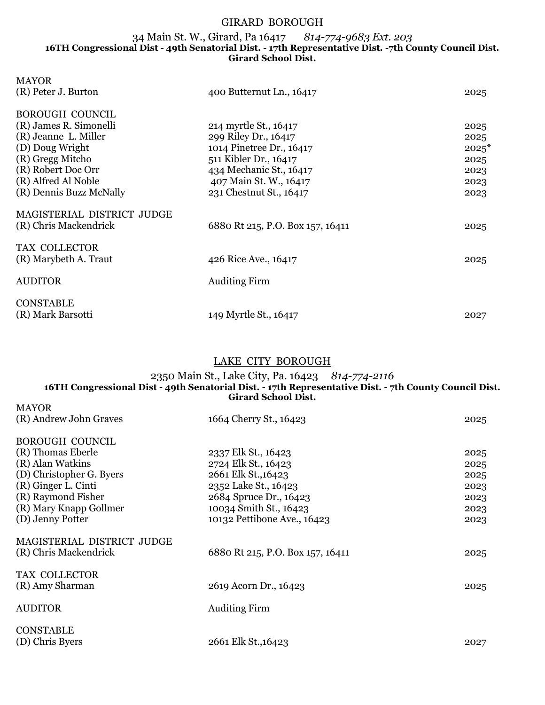## GIRARD BOROUGH

#### 34 Main St. W., Girard, Pa 16417 *814-774-9683 Ext. 203* **16TH Congressional Dist - 49th Senatorial Dist. - 17th Representative Dist. -7th County Council Dist. Girard School Dist.**

| <b>MAYOR</b>               |                                  |         |
|----------------------------|----------------------------------|---------|
| (R) Peter J. Burton        | 400 Butternut Ln., 16417         | 2025    |
| <b>BOROUGH COUNCIL</b>     |                                  |         |
| (R) James R. Simonelli     | 214 myrtle St., 16417            | 2025    |
| (R) Jeanne L. Miller       | 299 Riley Dr., 16417             | 2025    |
| (D) Doug Wright            | 1014 Pinetree Dr., 16417         | $2025*$ |
| (R) Gregg Mitcho           | 511 Kibler Dr., 16417            | 2025    |
| (R) Robert Doc Orr         | 434 Mechanic St., 16417          | 2023    |
| (R) Alfred Al Noble        | 407 Main St. W., 16417           | 2023    |
| (R) Dennis Buzz McNally    | 231 Chestnut St., 16417          | 2023    |
| MAGISTERIAL DISTRICT JUDGE |                                  |         |
| (R) Chris Mackendrick      | 6880 Rt 215, P.O. Box 157, 16411 | 2025    |
| TAX COLLECTOR              |                                  |         |
| (R) Marybeth A. Traut      | 426 Rice Ave., 16417             | 2025    |
| <b>AUDITOR</b>             | <b>Auditing Firm</b>             |         |
|                            |                                  |         |
| <b>CONSTABLE</b>           |                                  |         |
| (R) Mark Barsotti          | 149 Myrtle St., 16417            | 2027    |
|                            |                                  |         |

# LAKE CITY BOROUGH

#### 2350 Main St., Lake City, Pa. 16423 *814-774-2116* **16TH Congressional Dist - 49th Senatorial Dist. - 17th Representative Dist. - 7th County Council Dist. Girard School Dist.** MAYOR

| (R) Andrew John Graves     | 1664 Cherry St., 16423           | 2025 |
|----------------------------|----------------------------------|------|
| <b>BOROUGH COUNCIL</b>     |                                  |      |
| (R) Thomas Eberle          | 2337 Elk St., 16423              | 2025 |
| (R) Alan Watkins           | 2724 Elk St., 16423              | 2025 |
| (D) Christopher G. Byers   | 2661 Elk St., 16423              | 2025 |
| (R) Ginger L. Cinti        | 2352 Lake St., 16423             | 2023 |
| (R) Raymond Fisher         | 2684 Spruce Dr., 16423           | 2023 |
| (R) Mary Knapp Gollmer     | 10034 Smith St., 16423           | 2023 |
| (D) Jenny Potter           | 10132 Pettibone Ave., 16423      | 2023 |
| MAGISTERIAL DISTRICT JUDGE |                                  |      |
| (R) Chris Mackendrick      | 6880 Rt 215, P.O. Box 157, 16411 | 2025 |
| TAX COLLECTOR              |                                  |      |
| (R) Amy Sharman            | 2619 Acorn Dr., 16423            | 2025 |
| <b>AUDITOR</b>             | <b>Auditing Firm</b>             |      |
| <b>CONSTABLE</b>           |                                  |      |
| (D) Chris Byers            | 2661 Elk St., 16423              | 2027 |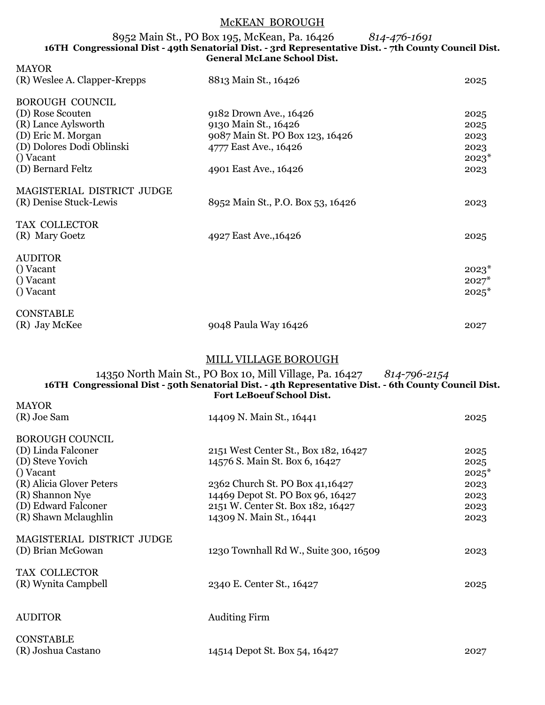# McKEAN BOROUGH

#### 8952 Main St., PO Box 195, McKean, Pa. 16426 *814-476-1691* **16TH Congressional Dist - 49th Senatorial Dist. - 3rd Representative Dist. - 7th County Council Dist. General McLane School Dist.**

| <b>MAYOR</b>                 |                                                                                                                                                                                                             |         |
|------------------------------|-------------------------------------------------------------------------------------------------------------------------------------------------------------------------------------------------------------|---------|
| (R) Weslee A. Clapper-Krepps | 8813 Main St., 16426                                                                                                                                                                                        | 2025    |
| <b>BOROUGH COUNCIL</b>       |                                                                                                                                                                                                             |         |
| (D) Rose Scouten             | 9182 Drown Ave., 16426                                                                                                                                                                                      | 2025    |
| (R) Lance Aylsworth          | 9130 Main St., 16426                                                                                                                                                                                        | 2025    |
| (D) Eric M. Morgan           | 9087 Main St. PO Box 123, 16426                                                                                                                                                                             | 2023    |
| (D) Dolores Dodi Oblinski    | 4777 East Ave., 16426                                                                                                                                                                                       | 2023    |
| () Vacant                    |                                                                                                                                                                                                             | $2023*$ |
| (D) Bernard Feltz            | 4901 East Ave., 16426                                                                                                                                                                                       | 2023    |
| MAGISTERIAL DISTRICT JUDGE   |                                                                                                                                                                                                             |         |
| (R) Denise Stuck-Lewis       | 8952 Main St., P.O. Box 53, 16426                                                                                                                                                                           | 2023    |
| TAX COLLECTOR                |                                                                                                                                                                                                             |         |
| (R) Mary Goetz               | 4927 East Ave., 16426                                                                                                                                                                                       | 2025    |
| <b>AUDITOR</b>               |                                                                                                                                                                                                             |         |
| () Vacant                    |                                                                                                                                                                                                             | $2023*$ |
| () Vacant                    |                                                                                                                                                                                                             | $2027*$ |
| () Vacant                    |                                                                                                                                                                                                             | $2025*$ |
| <b>CONSTABLE</b>             |                                                                                                                                                                                                             |         |
| (R) Jay McKee                | 9048 Paula Way 16426                                                                                                                                                                                        | 2027    |
|                              |                                                                                                                                                                                                             |         |
|                              | MILL VILLAGE BOROUGH                                                                                                                                                                                        |         |
|                              | 14350 North Main St., PO Box 10, Mill Village, Pa. 16427 814-796-2154<br>16TH Congressional Dist - 50th Senatorial Dist. - 4th Representative Dist. - 6th County Council Dist.<br>Fort LeBoeuf School Dist. |         |
| <b>MAYOR</b>                 |                                                                                                                                                                                                             |         |
| (R) Joe Sam                  | 14409 N. Main St., 16441                                                                                                                                                                                    | 2025    |
| <b>BOROUGH COUNCIL</b>       |                                                                                                                                                                                                             |         |
| (D) Linda Falconer           | 2151 West Center St., Box 182, 16427                                                                                                                                                                        | 2025    |
| (D) Steve Yovich             | 14576 S. Main St. Box 6, 16427                                                                                                                                                                              | 2025    |
| () Vacant                    |                                                                                                                                                                                                             | $2025*$ |
| (R) Alicia Glover Peters     | 2362 Church St. PO Box 41,16427                                                                                                                                                                             | 2023    |
| (R) Shannon Nye              | 14469 Depot St. PO Box 96, 16427                                                                                                                                                                            | 2023    |
| (D) Edward Falconer          | 2151 W. Center St. Box 182, 16427                                                                                                                                                                           | 2023    |
| (R) Shawn Mclaughlin         | 14309 N. Main St., 16441                                                                                                                                                                                    | 2023    |
| MAGISTERIAL DISTRICT JUDGE   |                                                                                                                                                                                                             |         |
| (D) Brian McGowan            | 1230 Townhall Rd W., Suite 300, 16509                                                                                                                                                                       | 2023    |
| TAX COLLECTOR                |                                                                                                                                                                                                             |         |
| (R) Wynita Campbell          | 2340 E. Center St., 16427                                                                                                                                                                                   | 2025    |
| <b>AUDITOR</b>               | <b>Auditing Firm</b>                                                                                                                                                                                        |         |
| <b>CONSTABLE</b>             |                                                                                                                                                                                                             |         |

(R) Joshua Castano 14514 Depot St. Box 54, 16427 2027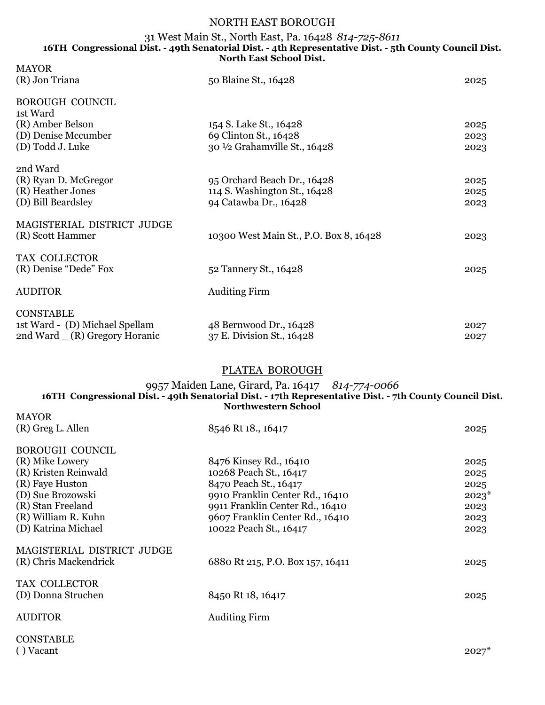# NORTH EAST BOROUGH

#### 31 West Main St., North East, Pa. 16428 *814-725-8611* **16TH Congressional Dist. - 49th Senatorial Dist. - 4th Representative Dist. - 5th County Council Dist. North East School Dist.** MAYOR

| <b>MAYOR</b><br>(R) Jon Triana                                                                    | 50 Blaine St., 16428                                                                 | 2025                 |
|---------------------------------------------------------------------------------------------------|--------------------------------------------------------------------------------------|----------------------|
| <b>BOROUGH COUNCIL</b><br>1st Ward<br>(R) Amber Belson<br>(D) Denise Mccumber<br>(D) Todd J. Luke | 154 S. Lake St., 16428<br>69 Clinton St., 16428<br>30 1/2 Grahamville St., 16428     | 2025<br>2023<br>2023 |
| 2nd Ward<br>(R) Ryan D. McGregor<br>(R) Heather Jones<br>(D) Bill Beardsley                       | 95 Orchard Beach Dr., 16428<br>114 S. Washington St., 16428<br>94 Catawba Dr., 16428 | 2025<br>2025<br>2023 |
| MAGISTERIAL DISTRICT JUDGE<br>(R) Scott Hammer                                                    | 10300 West Main St., P.O. Box 8, 16428                                               | 2023                 |
| TAX COLLECTOR<br>(R) Denise "Dede" Fox                                                            | 52 Tannery St., 16428                                                                | 2025                 |
| <b>AUDITOR</b>                                                                                    | <b>Auditing Firm</b>                                                                 |                      |
| <b>CONSTABLE</b><br>1st Ward - (D) Michael Spellam<br>2nd Ward $(R)$ Gregory Horanic              | 48 Bernwood Dr., 16428<br>37 E. Division St., 16428                                  | 2027<br>2027         |

# PLATEA BOROUGH

## 9957 Maiden Lane, Girard, Pa. 16417 *814-774-0066* **16TH Congressional Dist. - 49th Senatorial Dist. - 17th Representative Dist. - 7th County Council Dist. Northwestern School**

| <b>MAYOR</b>               |                                  |         |
|----------------------------|----------------------------------|---------|
| (R) Greg L. Allen          | 8546 Rt 18., 16417               | 2025    |
|                            |                                  |         |
| <b>BOROUGH COUNCIL</b>     |                                  |         |
| (R) Mike Lowery            | 8476 Kinsey Rd., 16410           | 2025    |
| (R) Kristen Reinwald       | 10268 Peach St., 16417           | 2025    |
| (R) Faye Huston            | 8470 Peach St., 16417            | 2025    |
| (D) Sue Brozowski          | 9910 Franklin Center Rd., 16410  | $2023*$ |
| (R) Stan Freeland          | 9911 Franklin Center Rd., 16410  | 2023    |
| (R) William R. Kuhn        | 9607 Franklin Center Rd., 16410  | 2023    |
| (D) Katrina Michael        | 10022 Peach St., 16417           | 2023    |
|                            |                                  |         |
| MAGISTERIAL DISTRICT JUDGE |                                  |         |
| (R) Chris Mackendrick      | 6880 Rt 215, P.O. Box 157, 16411 | 2025    |
|                            |                                  |         |
| TAX COLLECTOR              |                                  |         |
| (D) Donna Struchen         | 8450 Rt 18, 16417                | 2025    |
|                            |                                  |         |
| <b>AUDITOR</b>             | <b>Auditing Firm</b>             |         |
|                            |                                  |         |
| <b>CONSTABLE</b>           |                                  |         |

( ) Vacant  $2027^*$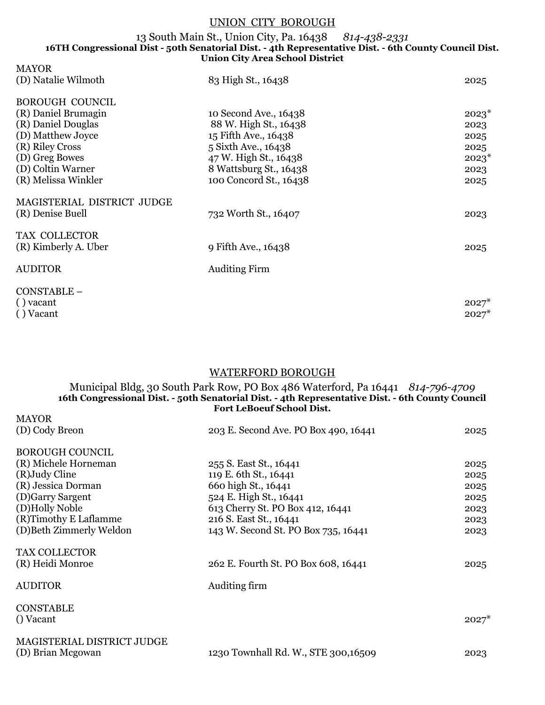# UNION CITY BOROUGH

#### 13 South Main St., Union City, Pa. 16438 *814-438-2331* **16TH Congressional Dist - 50th Senatorial Dist. - 4th Representative Dist. - 6th County Council Dist. Union City Area School District**

| <b>MAYOR</b>               |                        |         |
|----------------------------|------------------------|---------|
| (D) Natalie Wilmoth        | 83 High St., 16438     | 2025    |
| <b>BOROUGH COUNCIL</b>     |                        |         |
| (R) Daniel Brumagin        | 10 Second Ave., 16438  | $2023*$ |
| (R) Daniel Douglas         | 88 W. High St., 16438  | 2023    |
| (D) Matthew Joyce          | 15 Fifth Ave., 16438   | 2025    |
| (R) Riley Cross            | 5 Sixth Ave., 16438    | 2025    |
| (D) Greg Bowes             | 47 W. High St., 16438  | $2023*$ |
| (D) Coltin Warner          | 8 Wattsburg St., 16438 | 2023    |
| (R) Melissa Winkler        | 100 Concord St., 16438 | 2025    |
| MAGISTERIAL DISTRICT JUDGE |                        |         |
| (R) Denise Buell           | 732 Worth St., 16407   | 2023    |
| TAX COLLECTOR              |                        |         |
| (R) Kimberly A. Uber       | 9 Fifth Ave., 16438    | 2025    |
| <b>AUDITOR</b>             | <b>Auditing Firm</b>   |         |
| CONSTABLE-                 |                        |         |
| $()$ vacant                |                        | $2027*$ |
| () Vacant                  |                        | $2027*$ |

# WATERFORD BOROUGH

#### Municipal Bldg, 30 South Park Row, PO Box 486 Waterford, Pa 16441 *814-796-4709* **16th Congressional Dist. - 50th Senatorial Dist. - 4th Representative Dist. - 6th County Council Fort LeBoeuf School Dist.**

| <b>MAIUN</b>                                    |                                      |         |
|-------------------------------------------------|--------------------------------------|---------|
| (D) Cody Breon                                  | 203 E. Second Ave. PO Box 490, 16441 | 2025    |
| <b>BOROUGH COUNCIL</b>                          |                                      |         |
| (R) Michele Horneman                            | 255 S. East St., 16441               | 2025    |
| (R) Judy Cline                                  | 119 E. 6th St., 16441                | 2025    |
| (R) Jessica Dorman                              | 660 high St., 16441                  | 2025    |
| (D)Garry Sargent                                | 524 E. High St., 16441               | 2025    |
| (D)Holly Noble                                  | 613 Cherry St. PO Box 412, 16441     | 2023    |
| (R)Timothy E Laflamme                           | 216 S. East St., 16441               | 2023    |
| (D) Beth Zimmerly Weldon                        | 143 W. Second St. PO Box 735, 16441  | 2023    |
| <b>TAX COLLECTOR</b>                            |                                      |         |
| (R) Heidi Monroe                                | 262 E. Fourth St. PO Box 608, 16441  | 2025    |
| <b>AUDITOR</b>                                  | Auditing firm                        |         |
| <b>CONSTABLE</b><br>() Vacant                   |                                      | $2027*$ |
| MAGISTERIAL DISTRICT JUDGE<br>(D) Brian Mcgowan | 1230 Townhall Rd. W., STE 300,16509  | 2023    |
|                                                 |                                      |         |

**MAVOD**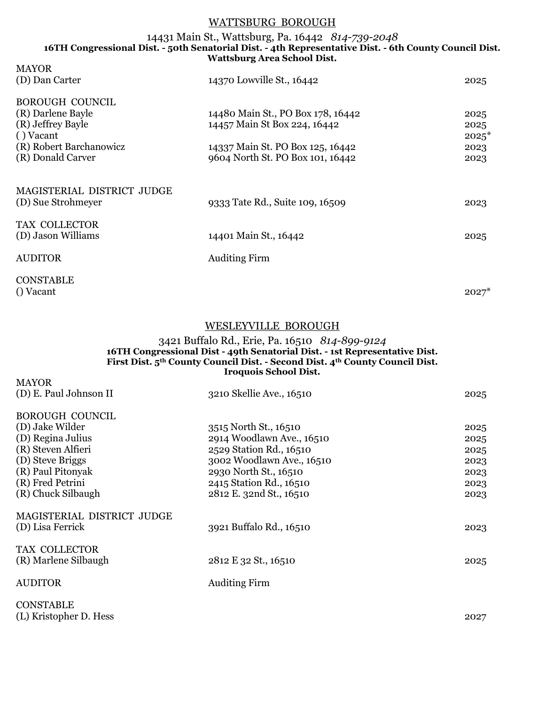## WATTSBURG BOROUGH

#### 14431 Main St., Wattsburg, Pa. 16442 *814-739-2048* **16TH Congressional Dist. - 50th Senatorial Dist. - 4th Representative Dist. - 6th County Council Dist. Wattsburg Area School Dist.**

| <b>MAYOR</b>                        | 14370 Lowville St., 16442         |         |
|-------------------------------------|-----------------------------------|---------|
| (D) Dan Carter                      |                                   | 2025    |
| <b>BOROUGH COUNCIL</b>              |                                   |         |
| (R) Darlene Bayle                   | 14480 Main St., PO Box 178, 16442 | 2025    |
| (R) Jeffrey Bayle                   | 14457 Main St Box 224, 16442      | 2025    |
| () Vacant                           |                                   | $2025*$ |
| (R) Robert Barchanowicz             | 14337 Main St. PO Box 125, 16442  | 2023    |
| (R) Donald Carver                   | 9604 North St. PO Box 101, 16442  | 2023    |
| MAGISTERIAL DISTRICT JUDGE          |                                   |         |
| (D) Sue Strohmeyer                  | 9333 Tate Rd., Suite 109, 16509   | 2023    |
| TAX COLLECTOR<br>(D) Jason Williams | 14401 Main St., 16442             | 2025    |
| <b>AUDITOR</b>                      | <b>Auditing Firm</b>              |         |
|                                     |                                   |         |

**CONSTABLE** () Vacant  $2027^*$ 

MAYOR

# WESLEYVILLE BOROUGH

#### 3421 Buffalo Rd., Erie, Pa. 16510 *814-899-9124* **16TH Congressional Dist - 49th Senatorial Dist. - 1st Representative Dist. First Dist. 5th County Council Dist. - Second Dist. 4th County Council Dist. Iroquois School Dist.**

| (D) E. Paul Johnson II     | 3210 Skellie Ave., 16510  | 2025 |
|----------------------------|---------------------------|------|
| <b>BOROUGH COUNCIL</b>     |                           |      |
| (D) Jake Wilder            | 3515 North St., 16510     | 2025 |
| (D) Regina Julius          | 2914 Woodlawn Ave., 16510 | 2025 |
| (R) Steven Alfieri         | 2529 Station Rd., 16510   | 2025 |
| (D) Steve Briggs           | 3002 Woodlawn Ave., 16510 | 2023 |
| (R) Paul Pitonyak          | 2930 North St., 16510     | 2023 |
| (R) Fred Petrini           | 2415 Station Rd., 16510   | 2023 |
| (R) Chuck Silbaugh         | 2812 E. 32nd St., 16510   | 2023 |
| MAGISTERIAL DISTRICT JUDGE |                           |      |
| (D) Lisa Ferrick           | 3921 Buffalo Rd., 16510   | 2023 |
| TAX COLLECTOR              |                           |      |
| (R) Marlene Silbaugh       | 2812 E 32 St., 16510      | 2025 |
| <b>AUDITOR</b>             | <b>Auditing Firm</b>      |      |
| <b>CONSTABLE</b>           |                           |      |
| (L) Kristopher D. Hess     |                           | 2027 |
|                            |                           |      |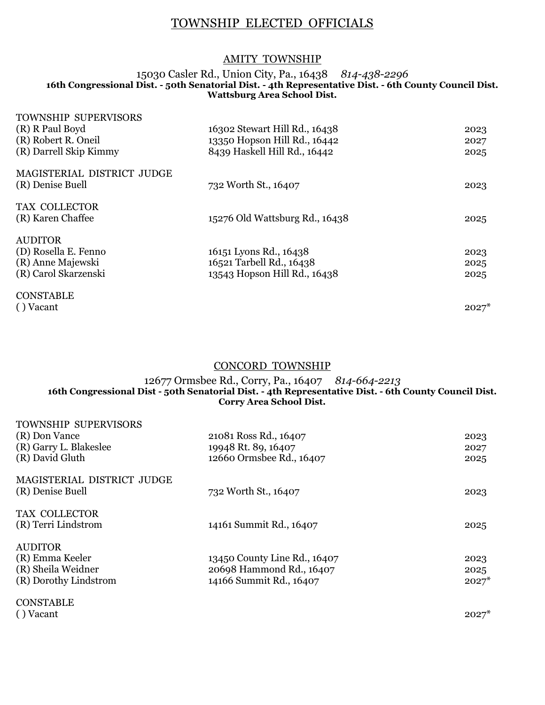# TOWNSHIP ELECTED OFFICIALS

# AMITY TOWNSHIP

### 15030 Casler Rd., Union City, Pa., 16438 *814-438-2296* **16th Congressional Dist. - 50th Senatorial Dist. - 4th Representative Dist. - 6th County Council Dist. Wattsburg Area School Dist.**

| <b>TOWNSHIP SUPERVISORS</b> |                                |         |
|-----------------------------|--------------------------------|---------|
| (R) R Paul Boyd             | 16302 Stewart Hill Rd., 16438  | 2023    |
| (R) Robert R. Oneil         | 13350 Hopson Hill Rd., 16442   | 2027    |
| (R) Darrell Skip Kimmy      | 8439 Haskell Hill Rd., 16442   | 2025    |
| MAGISTERIAL DISTRICT JUDGE  |                                |         |
| (R) Denise Buell            | 732 Worth St., 16407           | 2023    |
| TAX COLLECTOR               |                                |         |
| (R) Karen Chaffee           | 15276 Old Wattsburg Rd., 16438 | 2025    |
| <b>AUDITOR</b>              |                                |         |
| (D) Rosella E. Fenno        | 16151 Lyons Rd., 16438         | 2023    |
| (R) Anne Majewski           | 16521 Tarbell Rd., 16438       | 2025    |
| (R) Carol Skarzenski        | 13543 Hopson Hill Rd., 16438   | 2025    |
| <b>CONSTABLE</b>            |                                |         |
| () Vacant                   |                                | $2027*$ |

CONCORD TOWNSHIP

## 12677 Ormsbee Rd., Corry, Pa., 16407 *814-664-2213* **16th Congressional Dist - 50th Senatorial Dist. - 4th Representative Dist. - 6th County Council Dist. Corry Area School Dist.**

| <b>TOWNSHIP SUPERVISORS</b><br>(R) Don Vance<br>(R) Garry L. Blakeslee<br>(R) David Gluth | 21081 Ross Rd., 16407<br>19948 Rt. 89, 16407<br>12660 Ormsbee Rd., 16407            | 2023<br>2027<br>2025    |
|-------------------------------------------------------------------------------------------|-------------------------------------------------------------------------------------|-------------------------|
| MAGISTERIAL DISTRICT JUDGE<br>(R) Denise Buell                                            | 732 Worth St., 16407                                                                | 2023                    |
| TAX COLLECTOR<br>(R) Terri Lindstrom                                                      | 14161 Summit Rd., 16407                                                             | 2025                    |
| <b>AUDITOR</b><br>(R) Emma Keeler<br>(R) Sheila Weidner<br>(R) Dorothy Lindstrom          | 13450 County Line Rd., 16407<br>20698 Hammond Rd., 16407<br>14166 Summit Rd., 16407 | 2023<br>2025<br>$2027*$ |
| <b>CONSTABLE</b>                                                                          |                                                                                     |                         |

( ) Vacant  $2027^*$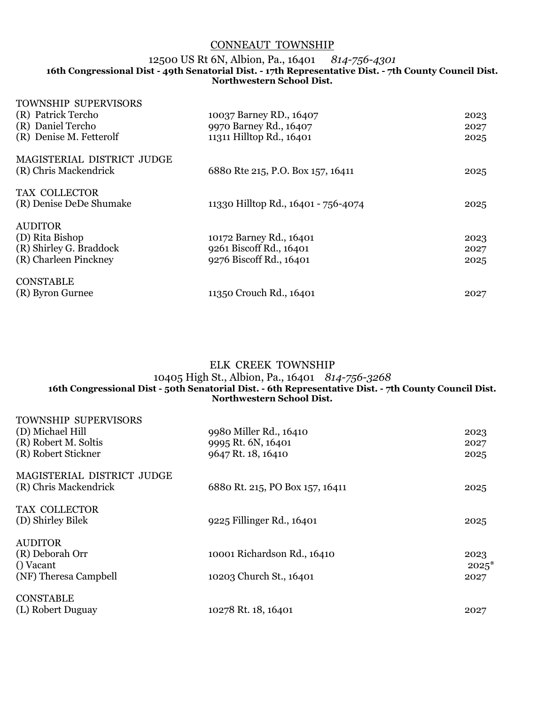# CONNEAUT TOWNSHIP

## 12500 US Rt 6N, Albion, Pa., 16401 *814-756-4301*

#### **16th Congressional Dist - 49th Senatorial Dist. - 17th Representative Dist. - 7th County Council Dist. Northwestern School Dist.**

| <b>TOWNSHIP SUPERVISORS</b><br>(R) Patrick Tercho<br>(R) Daniel Tercho<br>(R) Denise M. Fetterolf | 10037 Barney RD., 16407<br>9970 Barney Rd., 16407<br>11311 Hilltop Rd., 16401 | 2023<br>2027<br>2025 |
|---------------------------------------------------------------------------------------------------|-------------------------------------------------------------------------------|----------------------|
| MAGISTERIAL DISTRICT JUDGE<br>(R) Chris Mackendrick                                               | 6880 Rte 215, P.O. Box 157, 16411                                             | 2025                 |
| TAX COLLECTOR<br>(R) Denise DeDe Shumake                                                          | 11330 Hilltop Rd., 16401 - 756-4074                                           | 2025                 |
| <b>AUDITOR</b><br>(D) Rita Bishop<br>(R) Shirley G. Braddock<br>(R) Charleen Pinckney             | 10172 Barney Rd., 16401<br>9261 Biscoff Rd., 16401<br>9276 Biscoff Rd., 16401 | 2023<br>2027<br>2025 |
| <b>CONSTABLE</b><br>(R) Byron Gurnee                                                              | 11350 Crouch Rd., 16401                                                       | 2027                 |

# ELK CREEK TOWNSHIP 10405 High St., Albion, Pa., 16401 *814-756-3268* **16th Congressional Dist - 50th Senatorial Dist. - 6th Representative Dist. - 7th County Council Dist. Northwestern School Dist.**

| <b>TOWNSHIP SUPERVISORS</b><br>(D) Michael Hill<br>(R) Robert M. Soltis<br>(R) Robert Stickner | 9980 Miller Rd., 16410<br>9995 Rt. 6N, 16401<br>9647 Rt. 18, 16410 | 2023<br>2027<br>2025    |
|------------------------------------------------------------------------------------------------|--------------------------------------------------------------------|-------------------------|
| MAGISTERIAL DISTRICT JUDGE<br>(R) Chris Mackendrick                                            | 6880 Rt. 215, PO Box 157, 16411                                    | 2025                    |
| TAX COLLECTOR<br>(D) Shirley Bilek                                                             | 9225 Fillinger Rd., 16401                                          | 2025                    |
| <b>AUDITOR</b><br>(R) Deborah Orr<br>() Vacant<br>(NF) Theresa Campbell                        | 10001 Richardson Rd., 16410<br>10203 Church St., 16401             | 2023<br>$2025*$<br>2027 |
| <b>CONSTABLE</b><br>(L) Robert Duguay                                                          | 10278 Rt. 18, 16401                                                | 2027                    |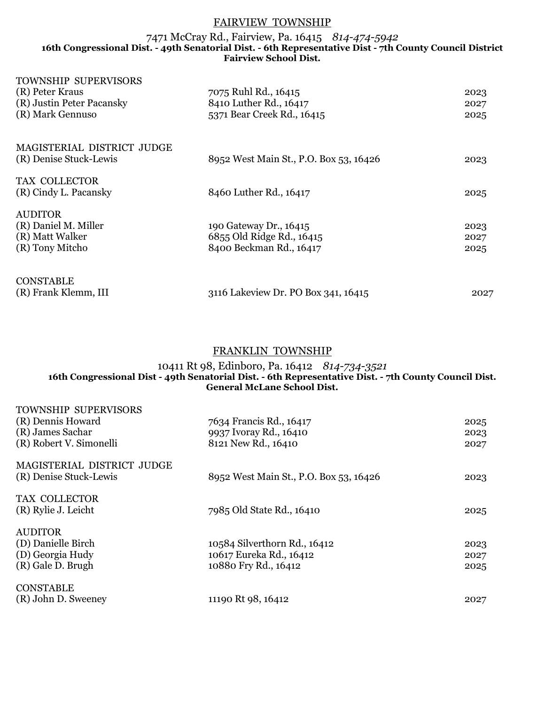## FAIRVIEW TOWNSHIP

### 7471 McCray Rd., Fairview, Pa. 16415 *814-474-5942* **16th Congressional Dist. - 49th Senatorial Dist. - 6th Representative Dist - 7th County Council District Fairview School Dist.**

| <b>TOWNSHIP SUPERVISORS</b> |                                        |      |
|-----------------------------|----------------------------------------|------|
| (R) Peter Kraus             | 7075 Ruhl Rd., 16415                   | 2023 |
| (R) Justin Peter Pacansky   | 8410 Luther Rd., 16417                 | 2027 |
| (R) Mark Gennuso            | 5371 Bear Creek Rd., 16415             | 2025 |
| MAGISTERIAL DISTRICT JUDGE  |                                        |      |
| (R) Denise Stuck-Lewis      | 8952 West Main St., P.O. Box 53, 16426 | 2023 |
| TAX COLLECTOR               |                                        |      |
| (R) Cindy L. Pacansky       | 8460 Luther Rd., 16417                 | 2025 |
| <b>AUDITOR</b>              |                                        |      |
| (R) Daniel M. Miller        | 190 Gateway Dr., 16415                 | 2023 |
| (R) Matt Walker             | 6855 Old Ridge Rd., 16415              | 2027 |
| (R) Tony Mitcho             | 8400 Beckman Rd., 16417                | 2025 |
| <b>CONSTABLE</b>            |                                        |      |
| (R) Frank Klemm, III        | 3116 Lakeview Dr. PO Box 341, 16415    | 2027 |

# FRANKLIN TOWNSHIP

#### 10411 Rt 98, Edinboro, Pa. 16412 *814-734-3521* **16th Congressional Dist - 49th Senatorial Dist. - 6th Representative Dist. - 7th County Council Dist. General McLane School Dist.**

| <b>TOWNSHIP SUPERVISORS</b><br>(R) Dennis Howard<br>(R) James Sachar<br>(R) Robert V. Simonelli | 7634 Francis Rd., 16417<br>9937 Ivoray Rd., 16410<br>8121 New Rd., 16410        | 2025<br>2023<br>2027 |
|-------------------------------------------------------------------------------------------------|---------------------------------------------------------------------------------|----------------------|
| MAGISTERIAL DISTRICT JUDGE<br>(R) Denise Stuck-Lewis                                            | 8952 West Main St., P.O. Box 53, 16426                                          | 2023                 |
| TAX COLLECTOR<br>(R) Rylie J. Leicht                                                            | 7985 Old State Rd., 16410                                                       | 2025                 |
| <b>AUDITOR</b><br>(D) Danielle Birch<br>(D) Georgia Hudy<br>(R) Gale D. Brugh                   | 10584 Silverthorn Rd., 16412<br>10617 Eureka Rd., 16412<br>10880 Fry Rd., 16412 | 2023<br>2027<br>2025 |
| <b>CONSTABLE</b><br>(R) John D. Sweeney                                                         | 11190 Rt 98, 16412                                                              | 2027                 |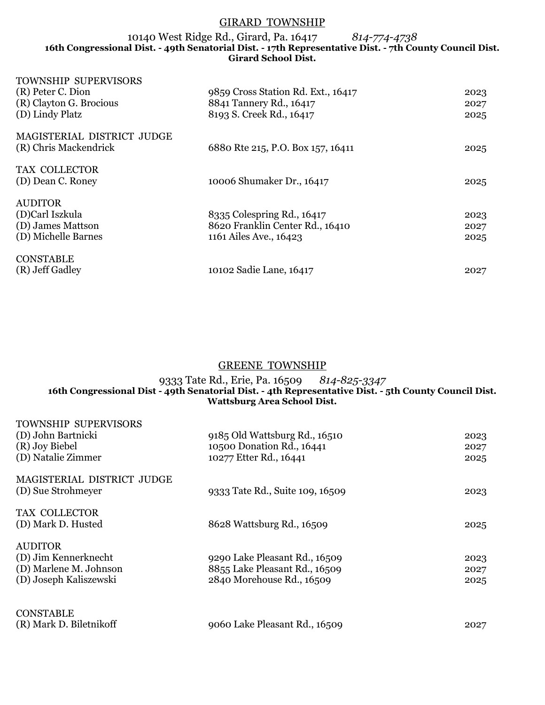# GIRARD TOWNSHIP

10140 West Ridge Rd., Girard, Pa. 16417 *814-774-4738* **16th Congressional Dist. - 49th Senatorial Dist. - 17th Representative Dist. - 7th County Council Dist. Girard School Dist.**

| <b>TOWNSHIP SUPERVISORS</b> |                                    |      |
|-----------------------------|------------------------------------|------|
| (R) Peter C. Dion           | 9859 Cross Station Rd. Ext., 16417 | 2023 |
| (R) Clayton G. Brocious     | 8841 Tannery Rd., 16417            | 2027 |
| (D) Lindy Platz             | 8193 S. Creek Rd., 16417           | 2025 |
| MAGISTERIAL DISTRICT JUDGE  |                                    |      |
| (R) Chris Mackendrick       | 6880 Rte 215, P.O. Box 157, 16411  | 2025 |
| TAX COLLECTOR               |                                    |      |
| (D) Dean C. Roney           | 10006 Shumaker Dr., 16417          | 2025 |
| <b>AUDITOR</b>              |                                    |      |
| (D)Carl Iszkula             | 8335 Colespring Rd., 16417         | 2023 |
| (D) James Mattson           | 8620 Franklin Center Rd., 16410    | 2027 |
| (D) Michelle Barnes         | 1161 Ailes Ave., 16423             | 2025 |
| <b>CONSTABLE</b>            |                                    |      |
| (R) Jeff Gadley             | 10102 Sadie Lane, 16417            | 2027 |
|                             |                                    |      |

## GREENE TOWNSHIP

#### 9333 Tate Rd., Erie, Pa. 16509 *814-825-3347* **16th Congressional Dist - 49th Senatorial Dist. - 4th Representative Dist. - 5th County Council Dist. Wattsburg Area School Dist.**

| TOWNSHIP SUPERVISORS<br>(D) John Bartnicki<br>(R) Joy Biebel<br>(D) Natalie Zimmer         | 9185 Old Wattsburg Rd., 16510<br>10500 Donation Rd., 16441<br>10277 Etter Rd., 16441        | 2023<br>2027<br>2025 |
|--------------------------------------------------------------------------------------------|---------------------------------------------------------------------------------------------|----------------------|
| MAGISTERIAL DISTRICT JUDGE<br>(D) Sue Strohmeyer                                           | 9333 Tate Rd., Suite 109, 16509                                                             | 2023                 |
| TAX COLLECTOR<br>(D) Mark D. Husted                                                        | 8628 Wattsburg Rd., 16509                                                                   | 2025                 |
| <b>AUDITOR</b><br>(D) Jim Kennerknecht<br>(D) Marlene M. Johnson<br>(D) Joseph Kaliszewski | 9290 Lake Pleasant Rd., 16509<br>8855 Lake Pleasant Rd., 16509<br>2840 Morehouse Rd., 16509 | 2023<br>2027<br>2025 |
| <b>CONSTABLE</b><br>(R) Mark D. Biletnikoff                                                | 9060 Lake Pleasant Rd., 16509                                                               | 2027                 |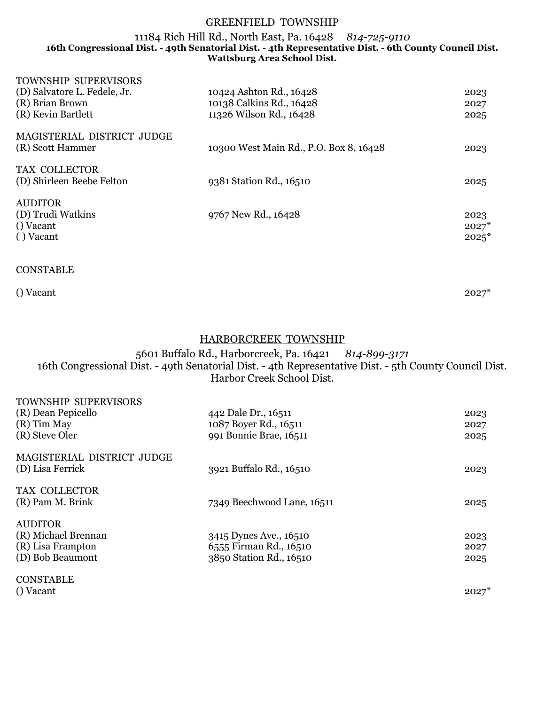## GREENFIELD TOWNSHIP

### 11184 Rich Hill Rd., North East, Pa. 16428 *814-725-9110* **16th Congressional Dist. - 49th Senatorial Dist. - 4th Representative Dist. - 6th County Council Dist. Wattsburg Area School Dist.**

| <b>TOWNSHIP SUPERVISORS</b>  |                                        |         |
|------------------------------|----------------------------------------|---------|
| (D) Salvatore L. Fedele, Jr. | 10424 Ashton Rd., 16428                | 2023    |
| (R) Brian Brown              | 10138 Calkins Rd., 16428               | 2027    |
| (R) Kevin Bartlett           | 11326 Wilson Rd., 16428                | 2025    |
| MAGISTERIAL DISTRICT JUDGE   |                                        |         |
| (R) Scott Hammer             | 10300 West Main Rd., P.O. Box 8, 16428 | 2023    |
| TAX COLLECTOR                |                                        |         |
| (D) Shirleen Beebe Felton    | 9381 Station Rd., 16510                | 2025    |
| <b>AUDITOR</b>               |                                        |         |
| (D) Trudi Watkins            | 9767 New Rd., 16428                    | 2023    |
| () Vacant                    |                                        | $2027*$ |
| () Vacant                    |                                        | $2025*$ |
| <b>CONSTABLE</b>             |                                        |         |

() Vacant  $2027^*$ 

# HARBORCREEK TOWNSHIP

5601 Buffalo Rd., Harborcreek, Pa. 16421 *814-899-3171* 16th Congressional Dist. - 49th Senatorial Dist. - 4th Representative Dist. - 5th County Council Dist. Harbor Creek School Dist.

| <b>TOWNSHIP SUPERVISORS</b><br>(R) Dean Pepicello<br>(R) Tim May<br>(R) Steve Oler | 442 Dale Dr., 16511<br>1087 Boyer Rd., 16511<br>991 Bonnie Brae, 16511      | 2023<br>2027<br>2025 |
|------------------------------------------------------------------------------------|-----------------------------------------------------------------------------|----------------------|
| MAGISTERIAL DISTRICT JUDGE<br>(D) Lisa Ferrick                                     | 3921 Buffalo Rd., 16510                                                     | 2023                 |
| TAX COLLECTOR<br>(R) Pam M. Brink                                                  | 7349 Beechwood Lane, 16511                                                  | 2025                 |
| <b>AUDITOR</b><br>(R) Michael Brennan<br>(R) Lisa Frampton<br>(D) Bob Beaumont     | 3415 Dynes Ave., 16510<br>6555 Firman Rd., 16510<br>3850 Station Rd., 16510 | 2023<br>2027<br>2025 |
| <b>CONSTABLE</b>                                                                   |                                                                             |                      |

() Vacant  $2027^*$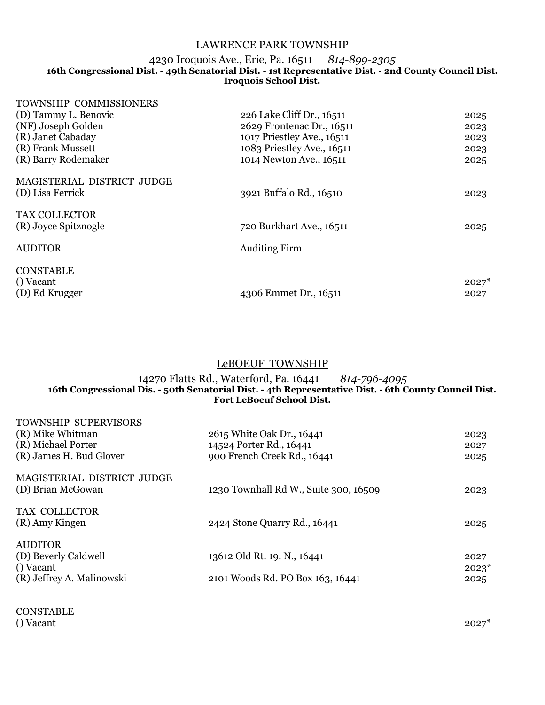# LAWRENCE PARK TOWNSHIP

#### 4230 Iroquois Ave., Erie, Pa. 16511 *814-899-2305* **16th Congressional Dist. - 49th Senatorial Dist. - 1st Representative Dist. - 2nd County Council Dist. Iroquois School Dist.**

| TOWNSHIP COMMISSIONERS     |                            |         |
|----------------------------|----------------------------|---------|
| (D) Tammy L. Benovic       | 226 Lake Cliff Dr., 16511  | 2025    |
| (NF) Joseph Golden         | 2629 Frontenac Dr., 16511  | 2023    |
| (R) Janet Cabaday          | 1017 Priestley Ave., 16511 | 2023    |
| (R) Frank Mussett          | 1083 Priestley Ave., 16511 | 2023    |
| (R) Barry Rodemaker        | 1014 Newton Ave., 16511    | 2025    |
| MAGISTERIAL DISTRICT JUDGE |                            |         |
| (D) Lisa Ferrick           | 3921 Buffalo Rd., 16510    | 2023    |
| <b>TAX COLLECTOR</b>       |                            |         |
| (R) Joyce Spitznogle       | 720 Burkhart Ave., 16511   | 2025    |
| <b>AUDITOR</b>             | <b>Auditing Firm</b>       |         |
| <b>CONSTABLE</b>           |                            |         |
| () Vacant                  |                            | $2027*$ |
| (D) Ed Krugger             | 4306 Emmet Dr., 16511      | 2027    |

# LeBOEUF TOWNSHIP

#### 14270 Flatts Rd., Waterford, Pa. 16441 *814-796-4095* **16th Congressional Dis. - 50th Senatorial Dist. - 4th Representative Dist. - 6th County Council Dist. Fort LeBoeuf School Dist.**

| <b>TOWNSHIP SUPERVISORS</b><br>(R) Mike Whitman<br>(R) Michael Porter<br>(R) James H. Bud Glover | 2615 White Oak Dr., 16441<br>14524 Porter Rd., 16441<br>900 French Creek Rd., 16441 | 2023<br>2027<br>2025    |
|--------------------------------------------------------------------------------------------------|-------------------------------------------------------------------------------------|-------------------------|
| MAGISTERIAL DISTRICT JUDGE<br>(D) Brian McGowan                                                  | 1230 Townhall Rd W., Suite 300, 16509                                               | 2023                    |
| TAX COLLECTOR<br>(R) Amy Kingen                                                                  | 2424 Stone Quarry Rd., 16441                                                        | 2025                    |
| <b>AUDITOR</b><br>(D) Beverly Caldwell<br>() Vacant<br>(R) Jeffrey A. Malinowski                 | 13612 Old Rt. 19. N., 16441<br>2101 Woods Rd. PO Box 163, 16441                     | 2027<br>$2023*$<br>2025 |
|                                                                                                  |                                                                                     |                         |

CONSTABLE<br>() Vacant () Vacant  $2027^*$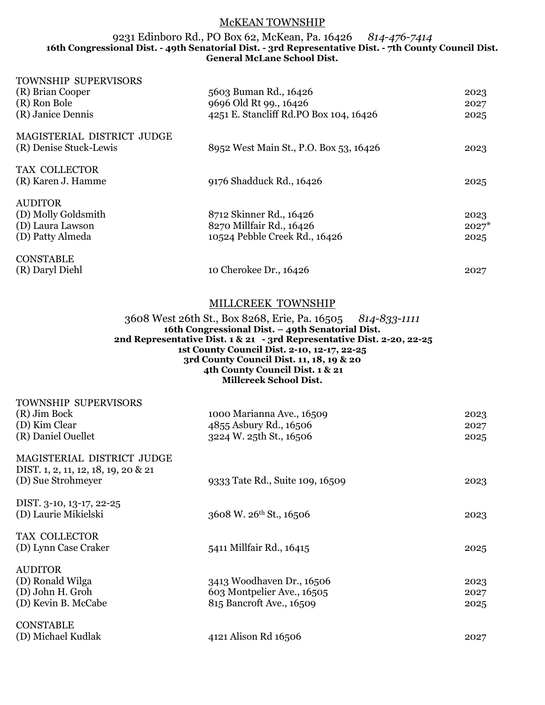## McKEAN TOWNSHIP

### 9231 Edinboro Rd., PO Box 62, McKean, Pa. 16426 *814-476-7414* **16th Congressional Dist. - 49th Senatorial Dist. - 3rd Representative Dist. - 7th County Council Dist. General McLane School Dist.**

| TOWNSHIP SUPERVISORS       |                                        |         |
|----------------------------|----------------------------------------|---------|
| (R) Brian Cooper           | 5603 Buman Rd., 16426                  | 2023    |
| (R) Ron Bole               | 9696 Old Rt 99., 16426                 | 2027    |
| (R) Janice Dennis          | 4251 E. Stancliff Rd.PO Box 104, 16426 | 2025    |
| MAGISTERIAL DISTRICT JUDGE |                                        |         |
| (R) Denise Stuck-Lewis     | 8952 West Main St., P.O. Box 53, 16426 | 2023    |
| TAX COLLECTOR              |                                        |         |
| (R) Karen J. Hamme         | 9176 Shadduck Rd., 16426               | 2025    |
| <b>AUDITOR</b>             |                                        |         |
| (D) Molly Goldsmith        | 8712 Skinner Rd., 16426                | 2023    |
| (D) Laura Lawson           | 8270 Millfair Rd., 16426               | $2027*$ |
| (D) Patty Almeda           | 10524 Pebble Creek Rd., 16426          | 2025    |
| <b>CONSTABLE</b>           |                                        |         |
| (R) Daryl Diehl            | 10 Cherokee Dr., 16426                 | 2027    |

# MILLCREEK TOWNSHIP

#### 3608 West 26th St., Box 8268, Erie, Pa. 16505 *814-833-1111* **16th Congressional Dist. – 49th Senatorial Dist. 2nd Representative Dist. 1 & 21 - 3rd Representative Dist. 2-20, 22-25 1st County Council Dist. 2-10, 12-17, 22-25 3rd County Council Dist. 11, 18, 19 & 20 4th County Council Dist. 1 & 21 Millcreek School Dist.**

| TOWNSHIP SUPERVISORS<br>(R) Jim Bock<br>(D) Kim Clear<br>(R) Daniel Ouellet             | 1000 Marianna Ave., 16509<br>4855 Asbury Rd., 16506<br>3224 W. 25th St., 16506      | 2023<br>2027<br>2025 |
|-----------------------------------------------------------------------------------------|-------------------------------------------------------------------------------------|----------------------|
| MAGISTERIAL DISTRICT JUDGE<br>DIST. 1, 2, 11, 12, 18, 19, 20 & 21<br>(D) Sue Strohmeyer | 9333 Tate Rd., Suite 109, 16509                                                     | 2023                 |
| DIST. 3-10, 13-17, 22-25<br>(D) Laurie Mikielski                                        | 3608 W. 26 <sup>th</sup> St., 16506                                                 | 2023                 |
| TAX COLLECTOR<br>(D) Lynn Case Craker                                                   | 5411 Millfair Rd., 16415                                                            | 2025                 |
| <b>AUDITOR</b><br>(D) Ronald Wilga<br>(D) John H. Groh<br>(D) Kevin B. McCabe           | 3413 Woodhaven Dr., 16506<br>603 Montpelier Ave., 16505<br>815 Bancroft Ave., 16509 | 2023<br>2027<br>2025 |
| <b>CONSTABLE</b><br>(D) Michael Kudlak                                                  | 4121 Alison Rd 16506                                                                | 2027                 |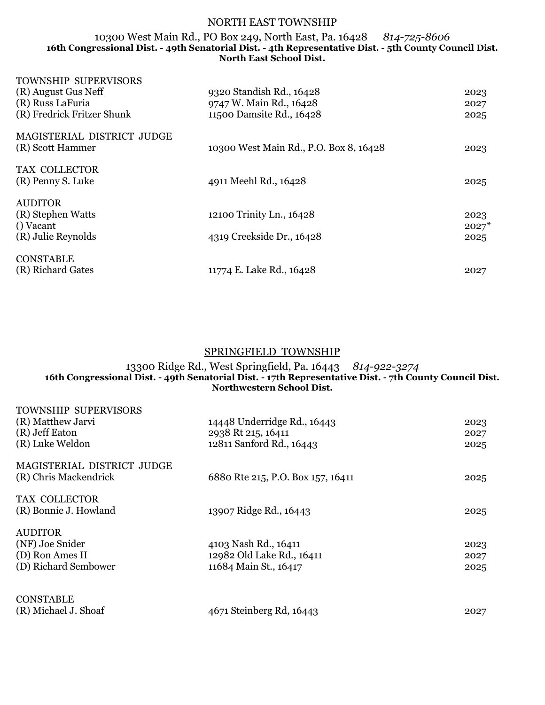# NORTH EAST TOWNSHIP

#### 10300 West Main Rd., PO Box 249, North East, Pa. 16428 *814-725-8606* **16th Congressional Dist. - 49th Senatorial Dist. - 4th Representative Dist. - 5th County Council Dist. North East School Dist.**

| <b>TOWNSHIP SUPERVISORS</b> |                                        |         |
|-----------------------------|----------------------------------------|---------|
| (R) August Gus Neff         | 9320 Standish Rd., 16428               | 2023    |
| (R) Russ LaFuria            | 9747 W. Main Rd., 16428                | 2027    |
| (R) Fredrick Fritzer Shunk  | 11500 Damsite Rd., 16428               | 2025    |
| MAGISTERIAL DISTRICT JUDGE  |                                        |         |
| (R) Scott Hammer            | 10300 West Main Rd., P.O. Box 8, 16428 | 2023    |
| TAX COLLECTOR               |                                        |         |
| (R) Penny S. Luke           | 4911 Meehl Rd., 16428                  | 2025    |
| <b>AUDITOR</b>              |                                        |         |
| (R) Stephen Watts           | 12100 Trinity Ln., 16428               | 2023    |
| () Vacant                   |                                        | $2027*$ |
| (R) Julie Reynolds          | 4319 Creekside Dr., 16428              | 2025    |
| <b>CONSTABLE</b>            |                                        |         |
| (R) Richard Gates           | 11774 E. Lake Rd., 16428               | 2027    |
|                             |                                        |         |

# SPRINGFIELD TOWNSHIP

## 13300 Ridge Rd., West Springfield, Pa. 16443 *814-922-3274* **16th Congressional Dist. - 49th Senatorial Dist. - 17th Representative Dist. - 7th County Council Dist. Northwestern School Dist.**

| <b>TOWNSHIP SUPERVISORS</b><br>(R) Matthew Jarvi<br>(R) Jeff Eaton<br>(R) Luke Weldon | 14448 Underridge Rd., 16443<br>2938 Rt 215, 16411<br>12811 Sanford Rd., 16443 | 2023<br>2027<br>2025 |
|---------------------------------------------------------------------------------------|-------------------------------------------------------------------------------|----------------------|
| MAGISTERIAL DISTRICT JUDGE<br>(R) Chris Mackendrick                                   | 6880 Rte 215, P.O. Box 157, 16411                                             | 2025                 |
| TAX COLLECTOR<br>(R) Bonnie J. Howland                                                | 13907 Ridge Rd., 16443                                                        | 2025                 |
| <b>AUDITOR</b><br>(NF) Joe Snider<br>(D) Ron Ames II<br>(D) Richard Sembower          | 4103 Nash Rd., 16411<br>12982 Old Lake Rd., 16411<br>11684 Main St., 16417    | 2023<br>2027<br>2025 |
| <b>CONSTABLE</b><br>(R) Michael J. Shoaf                                              | 4671 Steinberg Rd, 16443                                                      | 2027                 |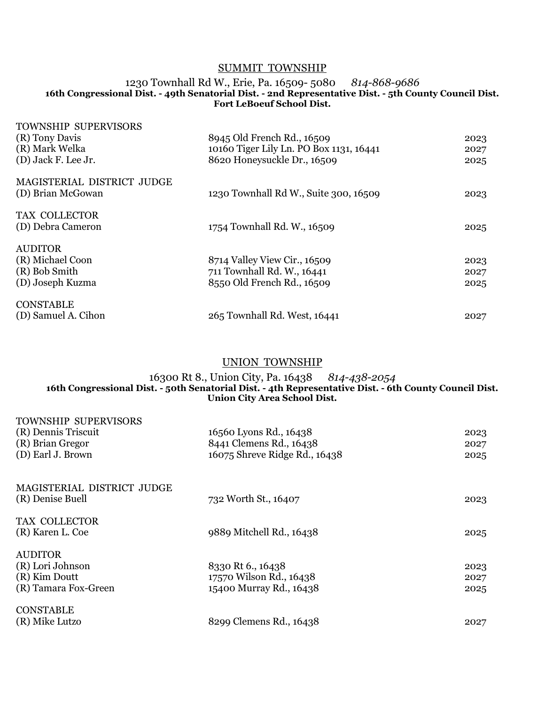# SUMMIT TOWNSHIP

#### 1230 Townhall Rd W., Erie, Pa. 16509- 5080 *814-868-9686* **16th Congressional Dist. - 49th Senatorial Dist. - 2nd Representative Dist. - 5th County Council Dist. Fort LeBoeuf School Dist.**

| <b>TOWNSHIP SUPERVISORS</b> |                                         |      |
|-----------------------------|-----------------------------------------|------|
| (R) Tony Davis              | 8945 Old French Rd., 16509              | 2023 |
| (R) Mark Welka              | 10160 Tiger Lily Ln. PO Box 1131, 16441 | 2027 |
| (D) Jack F. Lee Jr.         | 8620 Honeysuckle Dr., 16509             | 2025 |
| MAGISTERIAL DISTRICT JUDGE  |                                         |      |
| (D) Brian McGowan           | 1230 Townhall Rd W., Suite 300, 16509   | 2023 |
| TAX COLLECTOR               |                                         |      |
| (D) Debra Cameron           | 1754 Townhall Rd. W., 16509             | 2025 |
| <b>AUDITOR</b>              |                                         |      |
| (R) Michael Coon            | 8714 Valley View Cir., 16509            | 2023 |
| (R) Bob Smith               | 711 Townhall Rd. W., 16441              | 2027 |
| (D) Joseph Kuzma            | 8550 Old French Rd., 16509              | 2025 |
| <b>CONSTABLE</b>            |                                         |      |
| (D) Samuel A. Cihon         | 265 Townhall Rd. West, 16441            | 2027 |

# UNION TOWNSHIP

#### 16300 Rt 8., Union City, Pa. 16438 *814-438-2054* **16th Congressional Dist. - 50th Senatorial Dist. - 4th Representative Dist. - 6th County Council Dist. Union City Area School Dist.**

| TOWNSHIP SUPERVISORS<br>(R) Dennis Triscuit<br>(R) Brian Gregor<br>(D) Earl J. Brown | 16560 Lyons Rd., 16438<br>8441 Clemens Rd., 16438<br>16075 Shreve Ridge Rd., 16438 | 2023<br>2027<br>2025 |
|--------------------------------------------------------------------------------------|------------------------------------------------------------------------------------|----------------------|
| MAGISTERIAL DISTRICT JUDGE<br>(R) Denise Buell                                       | 732 Worth St., 16407                                                               | 2023                 |
| TAX COLLECTOR<br>(R) Karen L. Coe                                                    | 9889 Mitchell Rd., 16438                                                           | 2025                 |
| <b>AUDITOR</b><br>(R) Lori Johnson<br>(R) Kim Doutt<br>(R) Tamara Fox-Green          | 8330 Rt 6., 16438<br>17570 Wilson Rd., 16438<br>15400 Murray Rd., 16438            | 2023<br>2027<br>2025 |
| <b>CONSTABLE</b><br>(R) Mike Lutzo                                                   | 8299 Clemens Rd., 16438                                                            | 2027                 |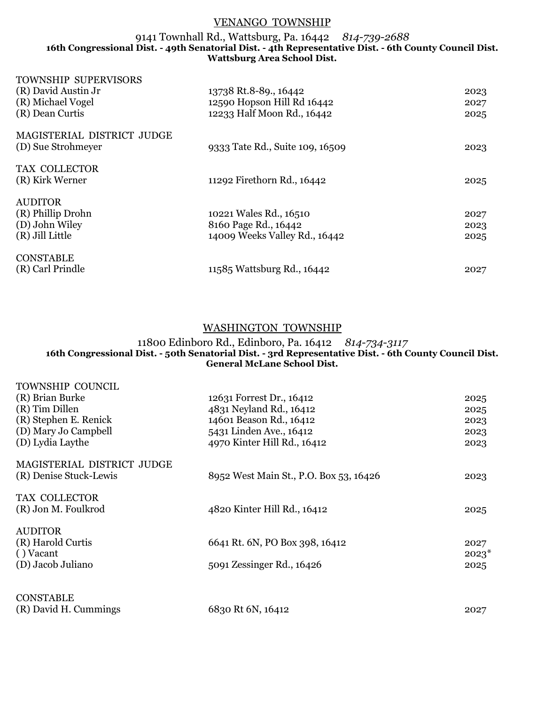# VENANGO TOWNSHIP

### 9141 Townhall Rd., Wattsburg, Pa. 16442 *814-739-2688* **16th Congressional Dist. - 49th Senatorial Dist. - 4th Representative Dist. - 6th County Council Dist. Wattsburg Area School Dist.**

| <b>TOWNSHIP SUPERVISORS</b> |                                 |      |
|-----------------------------|---------------------------------|------|
| (R) David Austin Jr         | 13738 Rt.8-89., 16442           | 2023 |
| (R) Michael Vogel           | 12590 Hopson Hill Rd 16442      | 2027 |
| (R) Dean Curtis             | 12233 Half Moon Rd., 16442      | 2025 |
| MAGISTERIAL DISTRICT JUDGE  |                                 |      |
| (D) Sue Strohmeyer          | 9333 Tate Rd., Suite 109, 16509 | 2023 |
| TAX COLLECTOR               |                                 |      |
| (R) Kirk Werner             | 11292 Firethorn Rd., 16442      | 2025 |
| <b>AUDITOR</b>              |                                 |      |
| (R) Phillip Drohn           | 10221 Wales Rd., 16510          | 2027 |
| (D) John Wiley              | 8160 Page Rd., 16442            | 2023 |
| (R) Jill Little             | 14009 Weeks Valley Rd., 16442   | 2025 |
| <b>CONSTABLE</b>            |                                 |      |
| (R) Carl Prindle            | 11585 Wattsburg Rd., 16442      | 2027 |

# WASHINGTON TOWNSHIP

#### 11800 Edinboro Rd., Edinboro, Pa. 16412 *814-734-3117* **16th Congressional Dist. - 50th Senatorial Dist. - 3rd Representative Dist. - 6th County Council Dist. General McLane School Dist.**

| TOWNSHIP COUNCIL<br>(R) Brian Burke<br>(R) Tim Dillen<br>(R) Stephen E. Renick<br>(D) Mary Jo Campbell<br>(D) Lydia Laythe | 12631 Forrest Dr., 16412<br>4831 Neyland Rd., 16412<br>14601 Beason Rd., 16412<br>5431 Linden Ave., 16412<br>4970 Kinter Hill Rd., 16412 | 2025<br>2025<br>2023<br>2023<br>2023 |
|----------------------------------------------------------------------------------------------------------------------------|------------------------------------------------------------------------------------------------------------------------------------------|--------------------------------------|
| MAGISTERIAL DISTRICT JUDGE<br>(R) Denise Stuck-Lewis                                                                       | 8952 West Main St., P.O. Box 53, 16426                                                                                                   | 2023                                 |
| TAX COLLECTOR<br>(R) Jon M. Foulkrod                                                                                       | 4820 Kinter Hill Rd., 16412                                                                                                              | 2025                                 |
| <b>AUDITOR</b><br>(R) Harold Curtis<br>() Vacant<br>(D) Jacob Juliano                                                      | 6641 Rt. 6N, PO Box 398, 16412<br>5091 Zessinger Rd., 16426                                                                              | 2027<br>$2023*$<br>2025              |
| <b>CONSTABLE</b><br>(R) David H. Cummings                                                                                  | 6830 Rt 6N, 16412                                                                                                                        | 2027                                 |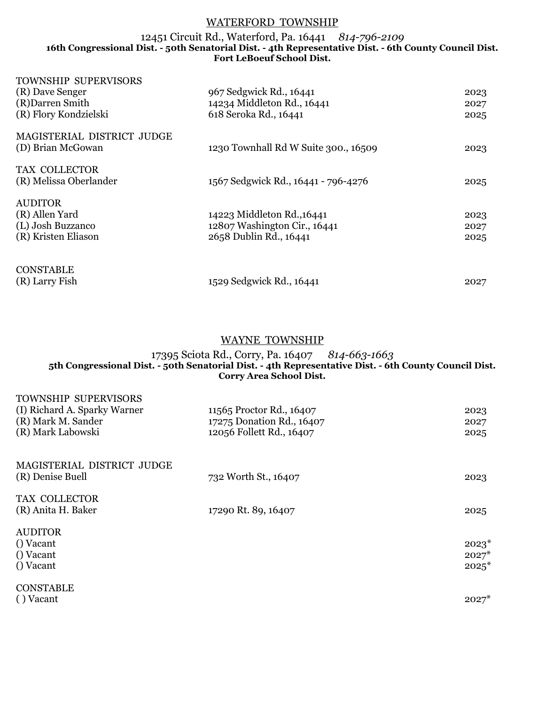## WATERFORD TOWNSHIP

### 12451 Circuit Rd., Waterford, Pa. 16441 *814-796-2109* **16th Congressional Dist. - 50th Senatorial Dist. - 4th Representative Dist. - 6th County Council Dist. Fort LeBoeuf School Dist.**

| <b>TOWNSHIP SUPERVISORS</b> |                                      |      |
|-----------------------------|--------------------------------------|------|
| (R) Dave Senger             | 967 Sedgwick Rd., 16441              | 2023 |
| (R) Darren Smith            | 14234 Middleton Rd., 16441           | 2027 |
| (R) Flory Kondzielski       | 618 Seroka Rd., 16441                | 2025 |
| MAGISTERIAL DISTRICT JUDGE  |                                      |      |
| (D) Brian McGowan           | 1230 Townhall Rd W Suite 300., 16509 | 2023 |
| TAX COLLECTOR               |                                      |      |
| (R) Melissa Oberlander      | 1567 Sedgwick Rd., 16441 - 796-4276  | 2025 |
| <b>AUDITOR</b>              |                                      |      |
| (R) Allen Yard              | 14223 Middleton Rd., 16441           | 2023 |
| (L) Josh Buzzanco           | 12807 Washington Cir., 16441         | 2027 |
| (R) Kristen Eliason         | 2658 Dublin Rd., 16441               | 2025 |
|                             |                                      |      |
| <b>CONSTABLE</b>            |                                      |      |
| (R) Larry Fish              | 1529 Sedgwick Rd., 16441             | 2027 |

# WAYNE TOWNSHIP

## 17395 Sciota Rd., Corry, Pa. 16407 *814-663-1663* **5th Congressional Dist. - 50th Senatorial Dist. - 4th Representative Dist. - 6th County Council Dist. Corry Area School Dist.**

| <b>TOWNSHIP SUPERVISORS</b><br>(I) Richard A. Sparky Warner<br>(R) Mark M. Sander<br>(R) Mark Labowski | 11565 Proctor Rd., 16407<br>17275 Donation Rd., 16407<br>12056 Follett Rd., 16407 | 2023<br>2027<br>2025          |
|--------------------------------------------------------------------------------------------------------|-----------------------------------------------------------------------------------|-------------------------------|
| MAGISTERIAL DISTRICT JUDGE<br>(R) Denise Buell                                                         | 732 Worth St., 16407                                                              | 2023                          |
| TAX COLLECTOR<br>(R) Anita H. Baker                                                                    | 17290 Rt. 89, 16407                                                               | 2025                          |
| <b>AUDITOR</b><br>() Vacant<br>() Vacant<br>() Vacant                                                  |                                                                                   | $2023*$<br>$2027*$<br>$2025*$ |
| <b>CONSTABLE</b><br>() Vacant                                                                          |                                                                                   | $2027*$                       |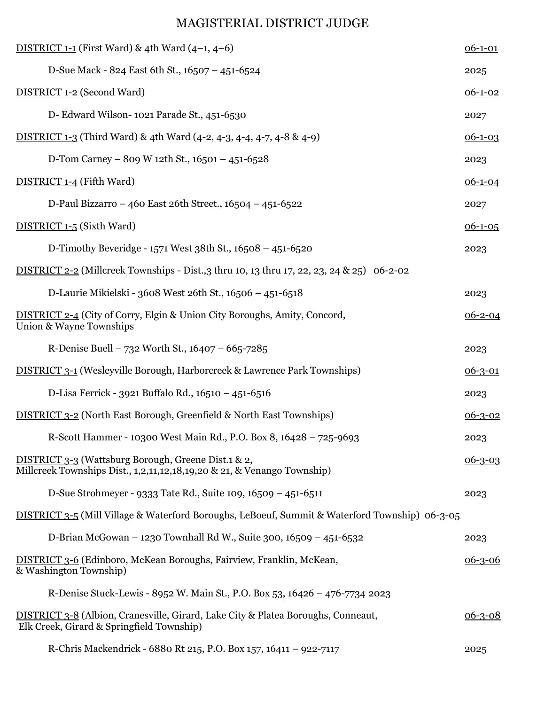# MAGISTERIAL DISTRICT JUDGE

| DISTRICT 1-1 (First Ward) & 4th Ward $(4-1, 4-6)$                                                                              | $06 - 1 - 01$ |
|--------------------------------------------------------------------------------------------------------------------------------|---------------|
| D-Sue Mack - 824 East 6th St., 16507 - 451-6524                                                                                | 2025          |
| <b>DISTRICT 1-2 (Second Ward)</b>                                                                                              | $06 - 1 - 02$ |
| D- Edward Wilson-1021 Parade St., 451-6530                                                                                     | 2027          |
| DISTRICT 1-3 (Third Ward) & 4th Ward (4-2, 4-3, 4-4, 4-7, 4-8 & 4-9)                                                           | $06-1-03$     |
| D-Tom Carney - 809 W 12th St., $16501 - 451 - 6528$                                                                            | 2023          |
| DISTRICT 1-4 (Fifth Ward)                                                                                                      | $06 - 1 - 04$ |
| D-Paul Bizzarro - 460 East 26th Street., 16504 - 451-6522                                                                      | 2027          |
| DISTRICT 1-5 (Sixth Ward)                                                                                                      | $06-1-05$     |
| D-Timothy Beveridge - 1571 West 38th St., 16508 - 451-6520                                                                     | 2023          |
| DISTRICT 2-2 (Millcreek Townships - Dist., 3 thru 10, 13 thru 17, 22, 23, 24 & 25) 06-2-02                                     |               |
| D-Laurie Mikielski - 3608 West 26th St., 16506 - 451-6518                                                                      | 2023          |
| DISTRICT 2-4 (City of Corry, Elgin & Union City Boroughs, Amity, Concord,<br>Union & Wayne Townships                           | $06 - 2 - 04$ |
| R-Denise Buell – 732 Worth St., $16407 - 665 - 7285$                                                                           | 2023          |
| <b>DISTRICT 3-1 (Wesleyville Borough, Harborcreek &amp; Lawrence Park Townships)</b>                                           | $06 - 3 - 01$ |
| D-Lisa Ferrick - 3921 Buffalo Rd., 16510 - 451-6516                                                                            | 2023          |
| <b>DISTRICT 3-2</b> (North East Borough, Greenfield & North East Townships)                                                    | $06 - 3 - 02$ |
| R-Scott Hammer - 10300 West Main Rd., P.O. Box 8, 16428 – 725-9693                                                             | 2023          |
| DISTRICT 3-3 (Wattsburg Borough, Greene Dist.1 & 2,<br>Millcreek Townships Dist., 1,2,11,12,18,19,20 & 21, & Venango Township) | $06 - 3 - 03$ |
| D-Sue Strohmeyer - 9333 Tate Rd., Suite 109, 16509 - 451-6511                                                                  | 2023          |
| DISTRICT 3-5 (Mill Village & Waterford Boroughs, LeBoeuf, Summit & Waterford Township) 06-3-05                                 |               |
| D-Brian McGowan – 1230 Townhall Rd W., Suite 300, 16509 – 451-6532                                                             | 2023          |
| <b>DISTRICT 3-6</b> (Edinboro, McKean Boroughs, Fairview, Franklin, McKean,<br>& Washington Township)                          | $06 - 3 - 06$ |
| R-Denise Stuck-Lewis - 8952 W. Main St., P.O. Box 53, 16426 – 476-7734 2023                                                    |               |
| DISTRICT 3-8 (Albion, Cranesville, Girard, Lake City & Platea Boroughs, Conneaut,<br>Elk Creek, Girard & Springfield Township) | $06 - 3 - 08$ |
| R-Chris Mackendrick - 6880 Rt 215, P.O. Box 157, 16411 - 922-7117                                                              | 2025          |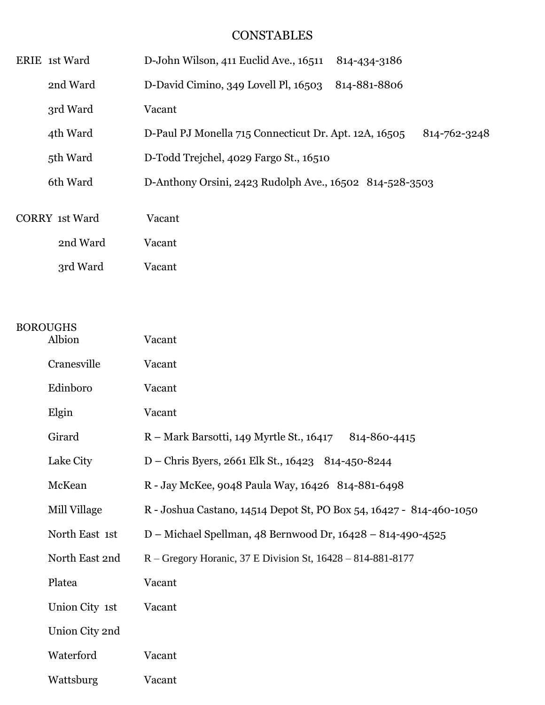# **CONSTABLES**

| ERIE 1st Ward         | D-John Wilson, 411 Euclid Ave., 16511<br>814-434-3186                 |
|-----------------------|-----------------------------------------------------------------------|
| 2nd Ward              | D-David Cimino, 349 Lovell Pl, 16503<br>814-881-8806                  |
| 3rd Ward              | Vacant                                                                |
| 4th Ward              | D-Paul PJ Monella 715 Connecticut Dr. Apt. 12A, 16505<br>814-762-3248 |
| 5th Ward              | D-Todd Trejchel, 4029 Fargo St., 16510                                |
| 6th Ward              | D-Anthony Orsini, 2423 Rudolph Ave., 16502 814-528-3503               |
|                       |                                                                       |
| <b>CORRY</b> 1st Ward | Vacant                                                                |
| 2nd Ward              | Vacant                                                                |
| 3rd Ward              | Vacant                                                                |

# BOROUGHS

| Albion         | Vacant                                                              |
|----------------|---------------------------------------------------------------------|
| Cranesville    | Vacant                                                              |
| Edinboro       | Vacant                                                              |
| Elgin          | Vacant                                                              |
| Girard         | R – Mark Barsotti, 149 Myrtle St., 16417<br>814-860-4415            |
| Lake City      | D – Chris Byers, 2661 Elk St., 16423 814-450-8244                   |
| McKean         | R - Jay McKee, 9048 Paula Way, 16426 814-881-6498                   |
| Mill Village   | R - Joshua Castano, 14514 Depot St, PO Box 54, 16427 - 814-460-1050 |
| North East 1st | D – Michael Spellman, 48 Bernwood Dr, 16428 – 814-490-4525          |
| North East 2nd | R – Gregory Horanic, 37 E Division St, $16428 - 814 - 881 - 8177$   |
| Platea         | Vacant                                                              |
| Union City 1st | Vacant                                                              |
| Union City 2nd |                                                                     |
| Waterford      | Vacant                                                              |
| Wattsburg      | Vacant                                                              |